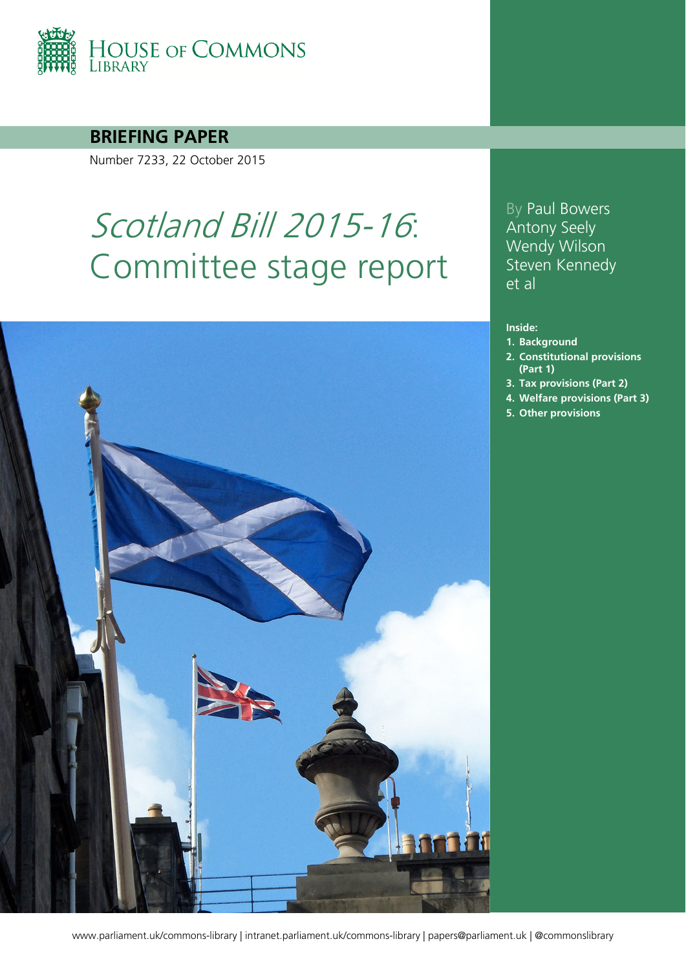

**BRIEFING PAPER**

Number 7233, 22 October 2015

# Scotland Bill 2015-16: Committee stage report



By Paul Bowers Antony Seely Wendy Wilson Steven Kennedy et al

#### **Inside:**

- **1. [Background](#page-3-0)**
- **2. [Constitutional provisions](#page-5-0)  [\(Part 1\)](#page-5-0)**
- **3. [Tax provisions \(Part 2\)](#page-12-0)**
- **4. [Welfare provisions \(Part 3\)](#page-21-0)**
- **5. [Other provisions](#page-36-0)**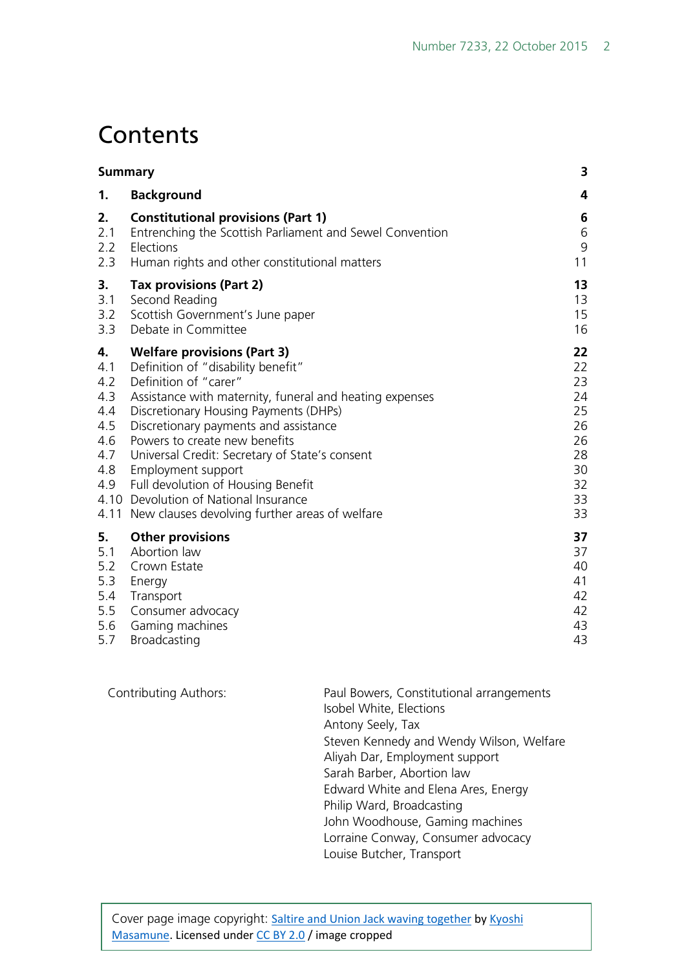# **Contents**

| <b>Summary</b>                                                    |                                                                                                                                                                                                                                                                                                                                                                                                                                                                                               | 3                                                                    |
|-------------------------------------------------------------------|-----------------------------------------------------------------------------------------------------------------------------------------------------------------------------------------------------------------------------------------------------------------------------------------------------------------------------------------------------------------------------------------------------------------------------------------------------------------------------------------------|----------------------------------------------------------------------|
| 1.                                                                | <b>Background</b>                                                                                                                                                                                                                                                                                                                                                                                                                                                                             | 4                                                                    |
| 2.                                                                | <b>Constitutional provisions (Part 1)</b>                                                                                                                                                                                                                                                                                                                                                                                                                                                     | 6                                                                    |
| 2.1                                                               | Entrenching the Scottish Parliament and Sewel Convention                                                                                                                                                                                                                                                                                                                                                                                                                                      | 6                                                                    |
| 2.2                                                               | Elections                                                                                                                                                                                                                                                                                                                                                                                                                                                                                     | $9$                                                                  |
| 2.3                                                               | Human rights and other constitutional matters                                                                                                                                                                                                                                                                                                                                                                                                                                                 | 11                                                                   |
| 3.                                                                | <b>Tax provisions (Part 2)</b>                                                                                                                                                                                                                                                                                                                                                                                                                                                                | 13                                                                   |
| 3.1                                                               | Second Reading                                                                                                                                                                                                                                                                                                                                                                                                                                                                                | 13                                                                   |
| 3.2                                                               | Scottish Government's June paper                                                                                                                                                                                                                                                                                                                                                                                                                                                              | 15                                                                   |
| 3.3                                                               | Debate in Committee                                                                                                                                                                                                                                                                                                                                                                                                                                                                           | 16                                                                   |
| 4.<br>4.1<br>4.2<br>4.3<br>4.4<br>4.5<br>4.6<br>4.7<br>4.8<br>4.9 | <b>Welfare provisions (Part 3)</b><br>Definition of "disability benefit"<br>Definition of "carer"<br>Assistance with maternity, funeral and heating expenses<br>Discretionary Housing Payments (DHPs)<br>Discretionary payments and assistance<br>Powers to create new benefits<br>Universal Credit: Secretary of State's consent<br>Employment support<br>Full devolution of Housing Benefit<br>4.10 Devolution of National Insurance<br>4.11 New clauses devolving further areas of welfare | 22<br>22<br>23<br>24<br>25<br>26<br>26<br>28<br>30<br>32<br>33<br>33 |
| 5.                                                                | <b>Other provisions</b>                                                                                                                                                                                                                                                                                                                                                                                                                                                                       | 37                                                                   |
| 5.1                                                               | Abortion law                                                                                                                                                                                                                                                                                                                                                                                                                                                                                  | 37                                                                   |
| 5.2                                                               | Crown Estate                                                                                                                                                                                                                                                                                                                                                                                                                                                                                  | 40                                                                   |
| 5.3                                                               | Energy                                                                                                                                                                                                                                                                                                                                                                                                                                                                                        | 41                                                                   |
| 5.4                                                               | Transport                                                                                                                                                                                                                                                                                                                                                                                                                                                                                     | 42                                                                   |
| 5.5                                                               | Consumer advocacy                                                                                                                                                                                                                                                                                                                                                                                                                                                                             | 42                                                                   |
| 5.6                                                               | Gaming machines                                                                                                                                                                                                                                                                                                                                                                                                                                                                               | 43                                                                   |
| 5.7                                                               | Broadcasting                                                                                                                                                                                                                                                                                                                                                                                                                                                                                  | 43                                                                   |

| <b>Contributing Authors:</b> | Paul Bowers, Constitutional arrangements |
|------------------------------|------------------------------------------|
|                              | Isobel White, Elections                  |
|                              | Antony Seely, Tax                        |
|                              | Steven Kennedy and Wendy Wilson, Welfare |
|                              | Aliyah Dar, Employment support           |
|                              | Sarah Barber, Abortion law               |
|                              | Edward White and Elena Ares, Energy      |
|                              | Philip Ward, Broadcasting                |
|                              | John Woodhouse, Gaming machines          |
|                              | Lorraine Conway, Consumer advocacy       |
|                              | Louise Butcher, Transport                |
|                              |                                          |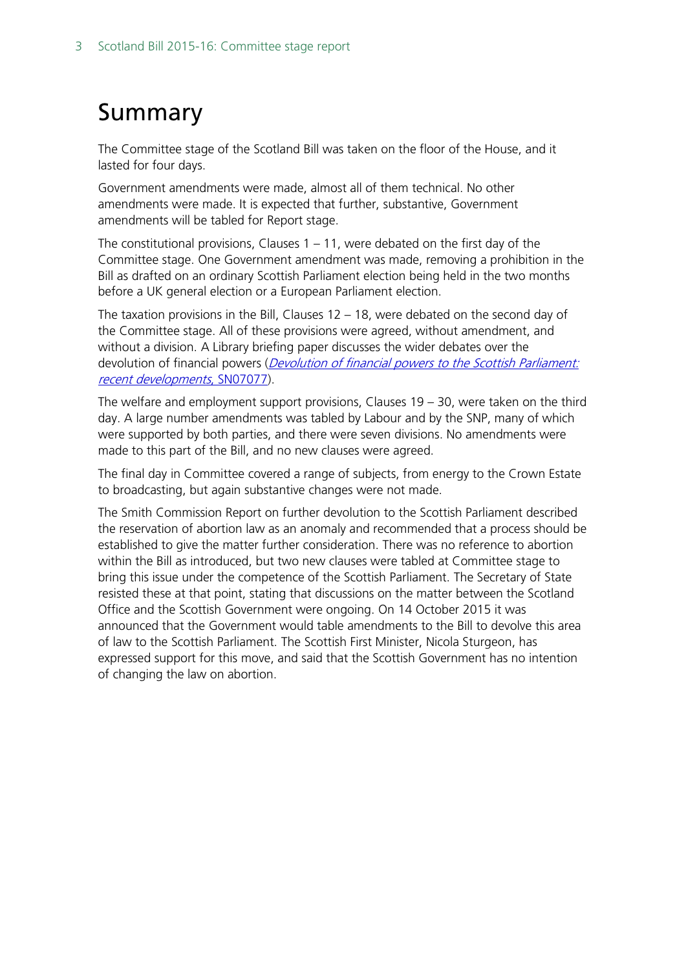# <span id="page-2-0"></span>Summary

The Committee stage of the Scotland Bill was taken on the floor of the House, and it lasted for four days.

Government amendments were made, almost all of them technical. No other amendments were made. It is expected that further, substantive, Government amendments will be tabled for Report stage.

The constitutional provisions, Clauses  $1 - 11$ , were debated on the first day of the Committee stage. One Government amendment was made, removing a prohibition in the Bill as drafted on an ordinary Scottish Parliament election being held in the two months before a UK general election or a European Parliament election.

The taxation provisions in the Bill, Clauses 12 – 18, were debated on the second day of the Committee stage. All of these provisions were agreed, without amendment, and without a division. A Library briefing paper discusses the wider debates over the devolution of financial powers (*Devolution of financial powers to the Scottish Parliament:* [recent developments](http://researchbriefings.parliament.uk/ResearchBriefing/Summary/SN07077), SN07077).

The welfare and employment support provisions, Clauses 19 – 30, were taken on the third day. A large number amendments was tabled by Labour and by the SNP, many of which were supported by both parties, and there were seven divisions. No amendments were made to this part of the Bill, and no new clauses were agreed.

The final day in Committee covered a range of subjects, from energy to the Crown Estate to broadcasting, but again substantive changes were not made.

The Smith Commission Report on further devolution to the Scottish Parliament described the reservation of abortion law as an anomaly and recommended that a process should be established to give the matter further consideration. There was no reference to abortion within the Bill as introduced, but two new clauses were tabled at Committee stage to bring this issue under the competence of the Scottish Parliament. The Secretary of State resisted these at that point, stating that discussions on the matter between the Scotland Office and the Scottish Government were ongoing. On 14 October 2015 it was announced that the Government would table amendments to the Bill to devolve this area of law to the Scottish Parliament. The Scottish First Minister, Nicola Sturgeon, has expressed support for this move, and said that the Scottish Government has no intention of changing the law on abortion.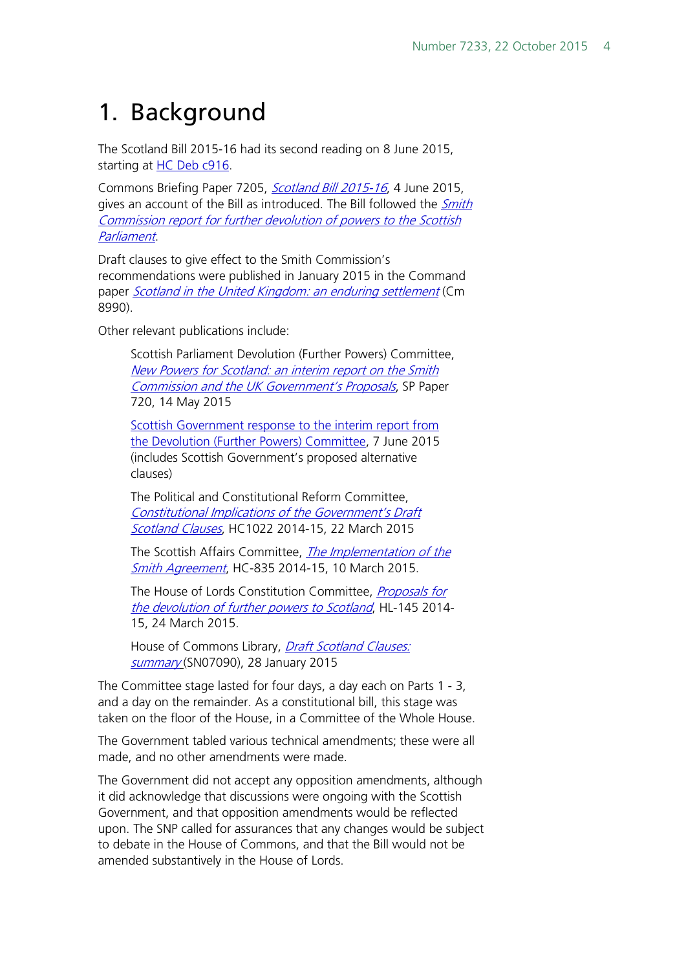# <span id="page-3-0"></span>1. Background

The Scotland Bill 2015-16 had its second reading on 8 June 2015, starting at [HC Deb c916.](http://www.publications.parliament.uk/pa/cm201516/cmhansrd/cm150608/debtext/150608-0001.htm%231506082000001)

Commons Briefing Paper 7205, [Scotland Bill 2015-16](http://researchbriefings.parliament.uk/ResearchBriefing/Summary/CBP-7205), 4 June 2015, gives an account of the Bill as introduced. The Bill followed the *Smith* [Commission report](https://www.smith-commission.scot/smith-commission-report/) for further devolution of powers to the Scottish Parliament.

Draft clauses to give effect to the Smith Commission's recommendations were published in January 2015 in the Command paper [Scotland in the United Kingdom: an enduring settlement](https://www.gov.uk/government/uploads/system/uploads/attachment_data/file/397079/Scotland_EnduringSettlement_acc.pdf) (Cm 8990).

Other relevant publications include:

Scottish Parliament Devolution (Further Powers) Committee, [New Powers for Scotland: an interim report on the](http://www.scottish.parliament.uk/S4_ScotlandBillCommittee/Reports/dfpr15-03.pdf) Smith [Commission and the UK Government's Proposals](http://www.scottish.parliament.uk/S4_ScotlandBillCommittee/Reports/dfpr15-03.pdf), SP Paper 720, 14 May 2015

[Scottish Government response to the interim report from](http://www.scottish.parliament.uk/S4_ScotlandBillCommittee/General%20Documents/SG_Response.pdf)  [the Devolution \(Further Powers\) Committee,](http://www.scottish.parliament.uk/S4_ScotlandBillCommittee/General%20Documents/SG_Response.pdf) 7 June 2015 (includes Scottish Government's proposed alternative clauses)

The Political and Constitutional Reform Committee, [Constitutional Implications of the Government's Draft](http://www.publications.parliament.uk/pa/cm201415/cmselect/cmpolcon/1022/102202.htm)  [Scotland Clauses](http://www.publications.parliament.uk/pa/cm201415/cmselect/cmpolcon/1022/102202.htm), HC1022 2014-15, 22 March 2015

The Scottish Affairs Committee, [The Implementation of](http://www.publications.parliament.uk/pa/cm201415/cmselect/cmscotaf/835/835.pdf) the [Smith Agreement](http://www.publications.parliament.uk/pa/cm201415/cmselect/cmscotaf/835/835.pdf), HC-835 2014-15, 10 March 2015.

The House of Lords Constitution Committee, Proposals for [the devolution of further powers to Scotland](http://www.publications.parliament.uk/pa/ld201415/ldselect/ldconst/145/145.pdf), HL-145 2014- 15, 24 March 2015.

House of Commons Library, *Draft Scotland Clauses:* [summary](http://researchbriefings.parliament.uk/ResearchBriefing/Summary/SN07090) (SN07090), 28 January 2015

The Committee stage lasted for four days, a day each on Parts 1 - 3, and a day on the remainder. As a constitutional bill, this stage was taken on the floor of the House, in a Committee of the Whole House.

The Government tabled various technical amendments; these were all made, and no other amendments were made.

The Government did not accept any opposition amendments, although it did acknowledge that discussions were ongoing with the Scottish Government, and that opposition amendments would be reflected upon. The SNP called for assurances that any changes would be subject to debate in the House of Commons, and that the Bill would not be amended substantively in the House of Lords.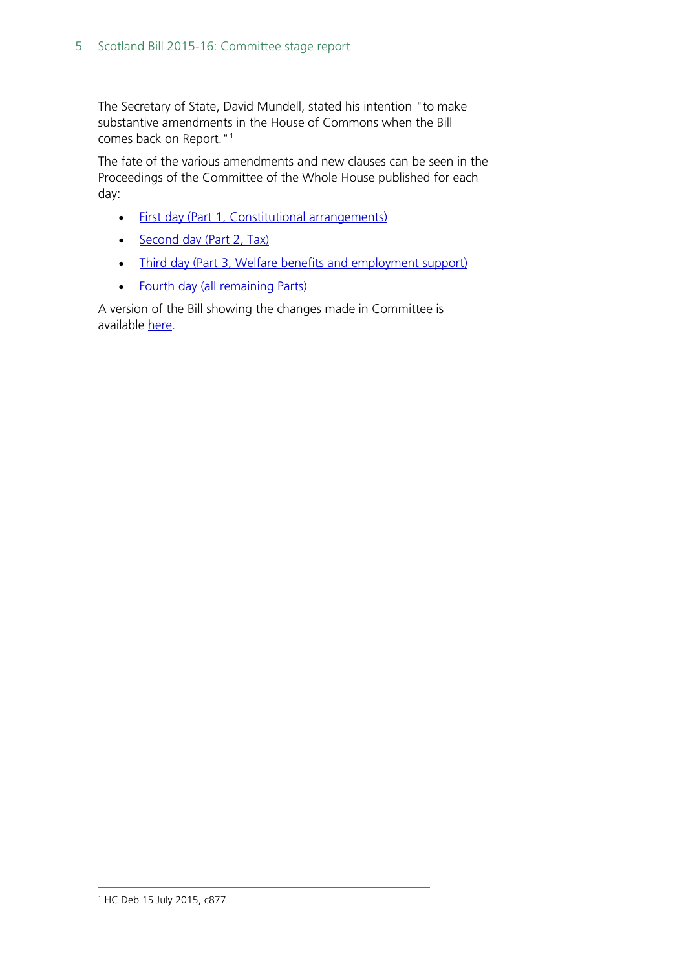The Secretary of State, David Mundell, stated his intention "to make substantive amendments in the House of Commons when the Bill comes back on Report."<sup>[1](#page-4-0)</sup>

The fate of the various amendments and new clauses can be seen in the Proceedings of the Committee of the Whole House published for each day:

- [First day](http://www.publications.parliament.uk/pa/bills/cbill/2015-2016/0003/pro0031606p.1-7.html) (Part 1, Constitutional arrangements)
- [Second day](http://www.publications.parliament.uk/pa/bills/cbill/2015-2016/0003/pro032906p.41-47.html) (Part 2, Tax)
- [Third day](http://www.publications.parliament.uk/pa/bills/cbill/2015-2016/0003/pro033006p.51-57.html) (Part 3, Welfare benefits and employment support)
- [Fourth day](http://www.publications.parliament.uk/pa/bills/cbill/2015-2016/0003/pro030607p.63-69.html) (all remaining Parts)

<span id="page-4-0"></span>A version of the Bill showing the changes made in Committee is available [here.](http://www.parliament.uk/documents/commons-public-bill-office/2015-16/compared-bills/Scotland-bill-150707.pdf)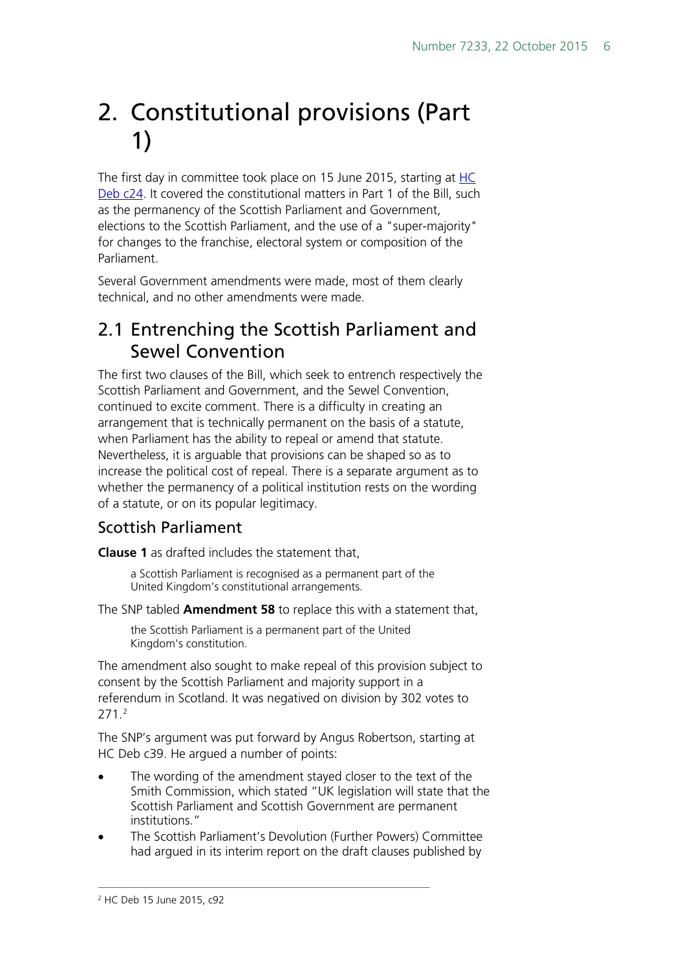# <span id="page-5-0"></span>2. Constitutional provisions (Part 1)

The first day in committee took place on 15 June 2015, starting at [HC](http://www.publications.parliament.uk/pa/cm201516/cmhansrd/cm150615/debtext/150615-0001.htm%2315061516000001)  [Deb c24.](http://www.publications.parliament.uk/pa/cm201516/cmhansrd/cm150615/debtext/150615-0001.htm%2315061516000001) It covered the constitutional matters in Part 1 of the Bill, such as the permanency of the Scottish Parliament and Government, elections to the Scottish Parliament, and the use of a "super-majority" for changes to the franchise, electoral system or composition of the Parliament.

Several Government amendments were made, most of them clearly technical, and no other amendments were made.

# <span id="page-5-1"></span>2.1 Entrenching the Scottish Parliament and Sewel Convention

The first two clauses of the Bill, which seek to entrench respectively the Scottish Parliament and Government, and the Sewel Convention, continued to excite comment. There is a difficulty in creating an arrangement that is technically permanent on the basis of a statute, when Parliament has the ability to repeal or amend that statute. Nevertheless, it is arguable that provisions can be shaped so as to increase the political cost of repeal. There is a separate argument as to whether the permanency of a political institution rests on the wording of a statute, or on its popular legitimacy.

#### Scottish Parliament

**Clause 1** as drafted includes the statement that,

a Scottish Parliament is recognised as a permanent part of the United Kingdom's constitutional arrangements.

The SNP tabled **Amendment 58** to replace this with a statement that,

the Scottish Parliament is a permanent part of the United Kingdom's constitution.

The amendment also sought to make repeal of this provision subject to consent by the Scottish Parliament and majority support in a referendum in Scotland. It was negatived on division by 302 votes to 271. [2](#page-5-2)

The SNP's argument was put forward by Angus Robertson, starting at HC Deb c39. He argued a number of points:

- The wording of the amendment stayed closer to the text of the Smith Commission, which stated "UK legislation will state that the Scottish Parliament and Scottish Government are permanent institutions."
- <span id="page-5-2"></span>• The Scottish Parliament's Devolution (Further Powers) Committee had argued in its interim report on the draft clauses published by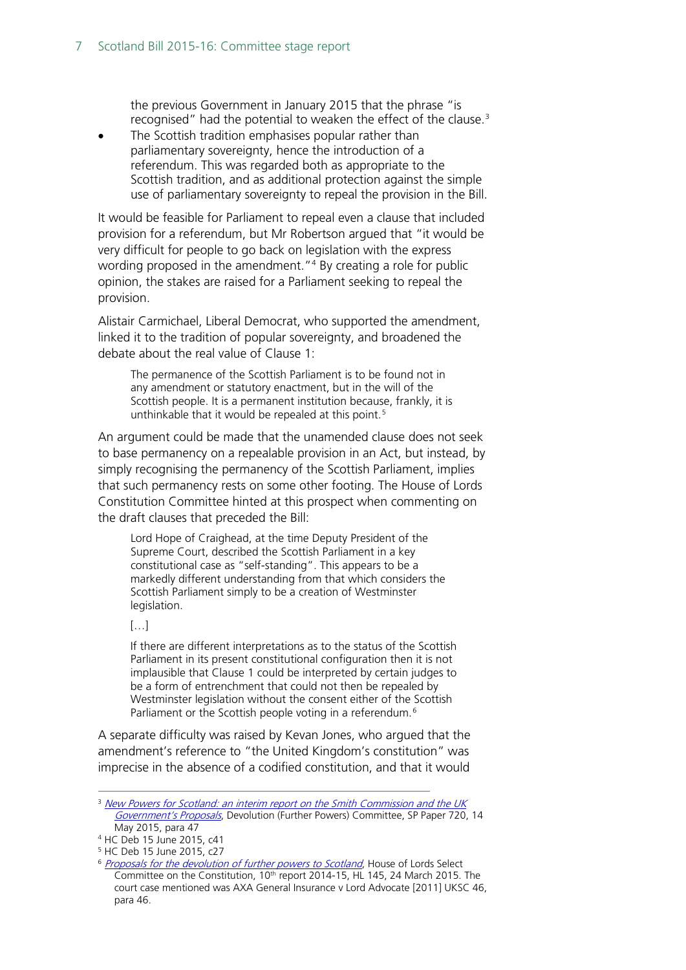the previous Government in January 2015 that the phrase "is recognised" had the potential to weaken the effect of the clause.[3](#page-6-0)

The Scottish tradition emphasises popular rather than parliamentary sovereignty, hence the introduction of a referendum. This was regarded both as appropriate to the Scottish tradition, and as additional protection against the simple use of parliamentary sovereignty to repeal the provision in the Bill.

It would be feasible for Parliament to repeal even a clause that included provision for a referendum, but Mr Robertson argued that "it would be very difficult for people to go back on legislation with the express wording proposed in the amendment."<sup>[4](#page-6-1)</sup> By creating a role for public opinion, the stakes are raised for a Parliament seeking to repeal the provision.

Alistair Carmichael, Liberal Democrat, who supported the amendment, linked it to the tradition of popular sovereignty, and broadened the debate about the real value of Clause 1:

The permanence of the Scottish Parliament is to be found not in any amendment or statutory enactment, but in the will of the Scottish people. It is a permanent institution because, frankly, it is unthinkable that it would be repealed at this point.<sup>[5](#page-6-2)</sup>

An argument could be made that the unamended clause does not seek to base permanency on a repealable provision in an Act, but instead, by simply recognising the permanency of the Scottish Parliament, implies that such permanency rests on some other footing. The House of Lords Constitution Committee hinted at this prospect when commenting on the draft clauses that preceded the Bill:

Lord Hope of Craighead, at the time Deputy President of the Supreme Court, described the Scottish Parliament in a key constitutional case as "self-standing". This appears to be a markedly different understanding from that which considers the Scottish Parliament simply to be a creation of Westminster legislation.

 $[\ldots]$ 

If there are different interpretations as to the status of the Scottish Parliament in its present constitutional configuration then it is not implausible that Clause 1 could be interpreted by certain judges to be a form of entrenchment that could not then be repealed by Westminster legislation without the consent either of the Scottish Parliament or the Scottish people voting in a referendum.<sup>[6](#page-6-3)</sup>

A separate difficulty was raised by Kevan Jones, who argued that the amendment's reference to "the United Kingdom's constitution" was imprecise in the absence of a codified constitution, and that it would

<span id="page-6-0"></span><sup>&</sup>lt;sup>3</sup> New Powers for Scotland: an interim report on the Smith Commission and the UK [Government's Proposals](http://www.scottish.parliament.uk/S4_ScotlandBillCommittee/Reports/dfpr15-03.pdf), Devolution (Further Powers) Committee, SP Paper 720, 14 May 2015, para 47

<span id="page-6-1"></span><sup>4</sup> HC Deb 15 June 2015, c41

<sup>5</sup> HC Deb 15 June 2015, c27

<span id="page-6-3"></span><span id="page-6-2"></span><sup>&</sup>lt;sup>6</sup> [Proposals for the devolution of further powers to Scotland](http://www.publications.parliament.uk/pa/ld201415/ldselect/ldconst/145/145.pdf), House of Lords Select Committee on the Constitution, 10<sup>th</sup> report 2014-15, HL 145, 24 March 2015. The court case mentioned was AXA General Insurance v Lord Advocate [2011] UKSC 46, para 46.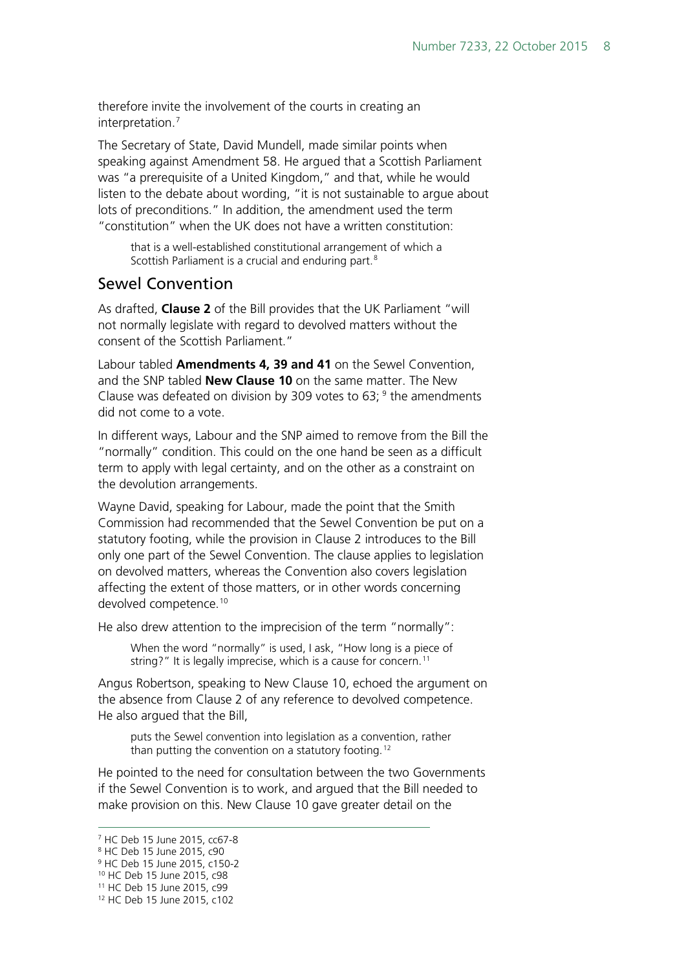therefore invite the involvement of the courts in creating an interpretation.[7](#page-7-0)

The Secretary of State, David Mundell, made similar points when speaking against Amendment 58. He argued that a Scottish Parliament was "a prerequisite of a United Kingdom," and that, while he would listen to the debate about wording, "it is not sustainable to argue about lots of preconditions." In addition, the amendment used the term "constitution" when the UK does not have a written constitution:

that is a well-established constitutional arrangement of which a Scottish Parliament is a crucial and enduring part.<sup>[8](#page-7-1)</sup>

#### Sewel Convention

As drafted, **Clause 2** of the Bill provides that the UK Parliament "will not normally legislate with regard to devolved matters without the consent of the Scottish Parliament."

Labour tabled **Amendments 4, 39 and 41** on the Sewel Convention, and the SNP tabled **New Clause 10** on the same matter. The New Clause was defeated on division by 30[9](#page-7-2) votes to 63;  $9$  the amendments did not come to a vote.

In different ways, Labour and the SNP aimed to remove from the Bill the "normally" condition. This could on the one hand be seen as a difficult term to apply with legal certainty, and on the other as a constraint on the devolution arrangements.

Wayne David, speaking for Labour, made the point that the Smith Commission had recommended that the Sewel Convention be put on a statutory footing, while the provision in Clause 2 introduces to the Bill only one part of the Sewel Convention. The clause applies to legislation on devolved matters, whereas the Convention also covers legislation affecting the extent of those matters, or in other words concerning devolved competence.<sup>[10](#page-7-3)</sup>

He also drew attention to the imprecision of the term "normally":

When the word "normally" is used, I ask, "How long is a piece of string?" It is legally imprecise, which is a cause for concern.<sup>[11](#page-7-4)</sup>

Angus Robertson, speaking to New Clause 10, echoed the argument on the absence from Clause 2 of any reference to devolved competence. He also argued that the Bill,

puts the Sewel convention into legislation as a convention, rather than putting the convention on a statutory footing.<sup>[12](#page-7-5)</sup>

He pointed to the need for consultation between the two Governments if the Sewel Convention is to work, and argued that the Bill needed to make provision on this. New Clause 10 gave greater detail on the

<span id="page-7-0"></span> <sup>7</sup> HC Deb 15 June 2015, cc67-8

<span id="page-7-1"></span><sup>8</sup> HC Deb 15 June 2015, c90

<span id="page-7-2"></span><sup>9</sup> HC Deb 15 June 2015, c150-2

<span id="page-7-3"></span><sup>10</sup> HC Deb 15 June 2015, c98

<span id="page-7-4"></span><sup>11</sup> HC Deb 15 June 2015, c99

<span id="page-7-5"></span><sup>12</sup> HC Deb 15 June 2015, c102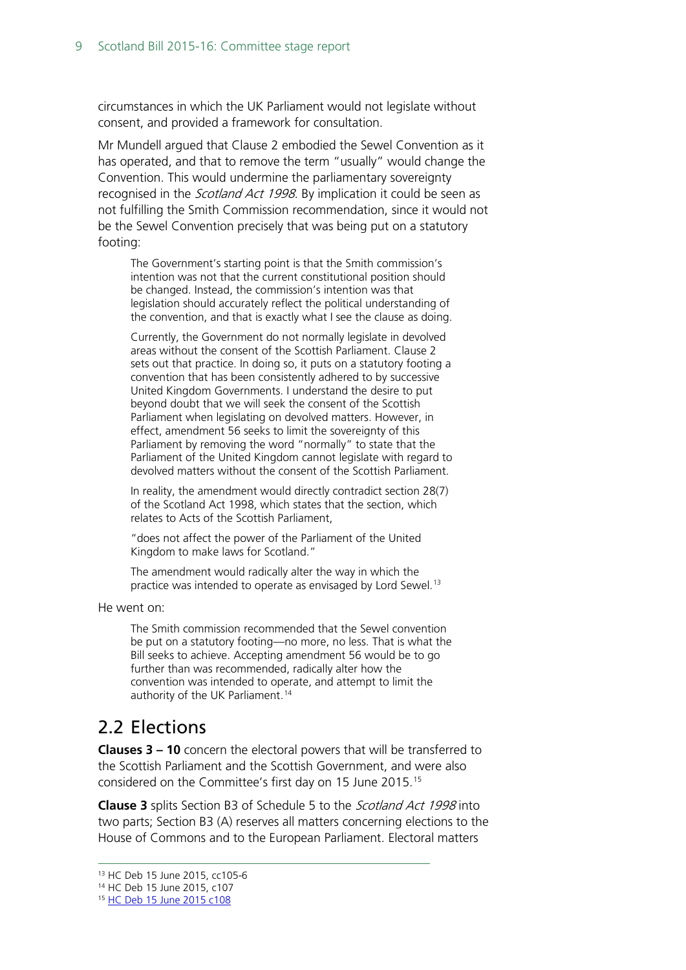circumstances in which the UK Parliament would not legislate without consent, and provided a framework for consultation.

Mr Mundell argued that Clause 2 embodied the Sewel Convention as it has operated, and that to remove the term "usually" would change the Convention. This would undermine the parliamentary sovereignty recognised in the *Scotland Act 1998*. By implication it could be seen as not fulfilling the Smith Commission recommendation, since it would not be the Sewel Convention precisely that was being put on a statutory footing:

The Government's starting point is that the Smith commission's intention was not that the current constitutional position should be changed. Instead, the commission's intention was that legislation should accurately reflect the political understanding of the convention, and that is exactly what I see the clause as doing.

Currently, the Government do not normally legislate in devolved areas without the consent of the Scottish Parliament. Clause 2 sets out that practice. In doing so, it puts on a statutory footing a convention that has been consistently adhered to by successive United Kingdom Governments. I understand the desire to put beyond doubt that we will seek the consent of the Scottish Parliament when legislating on devolved matters. However, in effect, amendment 56 seeks to limit the sovereignty of this Parliament by removing the word "normally" to state that the Parliament of the United Kingdom cannot legislate with regard to devolved matters without the consent of the Scottish Parliament.

In reality, the amendment would directly contradict section 28(7) of the Scotland Act 1998, which states that the section, which relates to Acts of the Scottish Parliament,

"does not affect the power of the Parliament of the United Kingdom to make laws for Scotland."

The amendment would radically alter the way in which the practice was intended to operate as envisaged by Lord Sewel.<sup>[13](#page-8-1)</sup>

He went on:

The Smith commission recommended that the Sewel convention be put on a statutory footing—no more, no less. That is what the Bill seeks to achieve. Accepting amendment 56 would be to go further than was recommended, radically alter how the convention was intended to operate, and attempt to limit the authority of the UK Parliament. [14](#page-8-2)

## <span id="page-8-0"></span>2.2 Elections

**Clauses 3 – 10** concern the electoral powers that will be transferred to the Scottish Parliament and the Scottish Government, and were also considered on the Committee's first day on 15 June 2015.[15](#page-8-3)

**Clause 3** splits Section B3 of Schedule 5 to the Scotland Act 1998 into two parts; Section B3 (A) reserves all matters concerning elections to the House of Commons and to the European Parliament. Electoral matters

<span id="page-8-1"></span> <sup>13</sup> HC Deb 15 June 2015, cc105-6

<span id="page-8-2"></span><sup>14</sup> HC Deb 15 June 2015, c107

<span id="page-8-3"></span><sup>15</sup> [HC Deb 15 June 2015 c108](http://www.publications.parliament.uk/pa/cm201516/cmhansrd/cm150615/debtext/150615-0003.htm)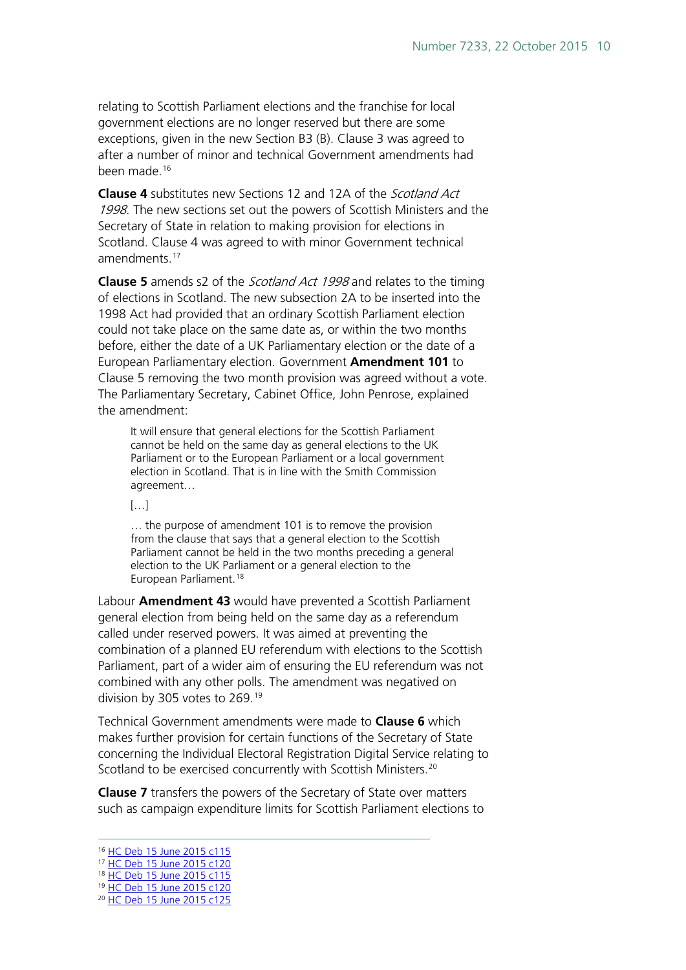relating to Scottish Parliament elections and the franchise for local government elections are no longer reserved but there are some exceptions, given in the new Section B3 (B). Clause 3 was agreed to after a number of minor and technical Government amendments had been made.<sup>[16](#page-9-0)</sup>

**Clause 4** substitutes new Sections 12 and 12A of the Scotland Act 1998. The new sections set out the powers of Scottish Ministers and the Secretary of State in relation to making provision for elections in Scotland. Clause 4 was agreed to with minor Government technical amendments.<sup>[17](#page-9-1)</sup>

**Clause 5** amends s2 of the Scotland Act 1998 and relates to the timing of elections in Scotland. The new subsection 2A to be inserted into the 1998 Act had provided that an ordinary Scottish Parliament election could not take place on the same date as, or within the two months before, either the date of a UK Parliamentary election or the date of a European Parliamentary election. Government **Amendment 101** to Clause 5 removing the two month provision was agreed without a vote. The Parliamentary Secretary, Cabinet Office, John Penrose, explained the amendment:

It will ensure that general elections for the Scottish Parliament cannot be held on the same day as general elections to the UK Parliament or to the European Parliament or a local government election in Scotland. That is in line with the Smith Commission agreement…

[…]

… the purpose of amendment 101 is to remove the provision from the clause that says that a general election to the Scottish Parliament cannot be held in the two months preceding a general election to the UK Parliament or a general election to the European Parliament.<sup>[18](#page-9-2)</sup>

Labour **Amendment 43** would have prevented a Scottish Parliament general election from being held on the same day as a referendum called under reserved powers. It was aimed at preventing the combination of a planned EU referendum with elections to the Scottish Parliament, part of a wider aim of ensuring the EU referendum was not combined with any other polls. The amendment was negatived on division by 305 votes to 269. [19](#page-9-3)

Technical Government amendments were made to **Clause 6** which makes further provision for certain functions of the Secretary of State concerning the Individual Electoral Registration Digital Service relating to Scotland to be exercised concurrently with Scottish Ministers.<sup>[20](#page-9-4)</sup>

**Clause 7** transfers the powers of the Secretary of State over matters such as campaign expenditure limits for Scottish Parliament elections to

<span id="page-9-0"></span> <sup>16</sup> [HC Deb 15 June 2015 c115](http://www.publications.parliament.uk/pa/cm201516/cmhansrd/cm150615/debtext/150615-0003.htm)

<span id="page-9-1"></span><sup>17</sup> [HC Deb 15 June 2015 c120](http://www.publications.parliament.uk/pa/cm201516/cmhansrd/cm150615/debtext/150615-0004.htm)

<span id="page-9-2"></span><sup>18</sup> [HC Deb 15 June 2015 c115](http://www.publications.parliament.uk/pa/cm201516/cmhansrd/cm150615/debtext/150615-0003.htm)

<span id="page-9-3"></span><sup>19</sup> [HC Deb 15 June 2015 c120](http://www.publications.parliament.uk/pa/cm201516/cmhansrd/cm150615/debtext/150615-0004.htm)

<span id="page-9-4"></span><sup>20</sup> [HC Deb 15 June 2015 c125](http://www.publications.parliament.uk/pa/cm201516/cmhansrd/cm150615/debtext/150615-0004.htm)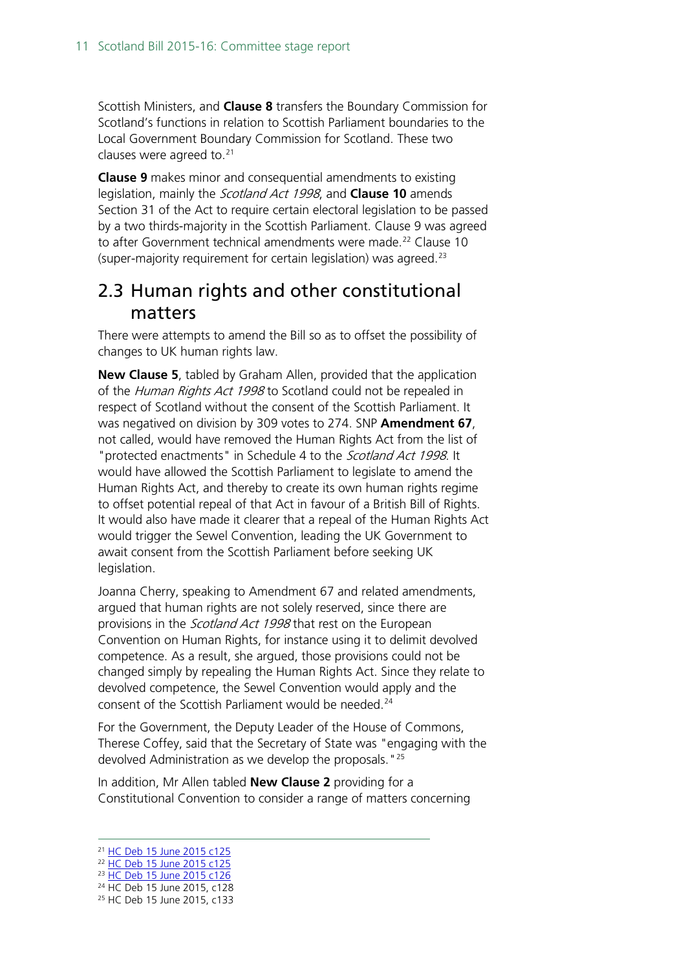Scottish Ministers, and **Clause 8** transfers the Boundary Commission for Scotland's functions in relation to Scottish Parliament boundaries to the Local Government Boundary Commission for Scotland. These two clauses were agreed to.<sup>[21](#page-10-1)</sup>

**Clause 9** makes minor and consequential amendments to existing legislation, mainly the Scotland Act 1998, and **Clause 10** amends Section 31 of the Act to require certain electoral legislation to be passed by a two thirds-majority in the Scottish Parliament. Clause 9 was agreed to after Government technical amendments were made.<sup>[22](#page-10-2)</sup> Clause 10 (super-majority requirement for certain legislation) was agreed.[23](#page-10-3)

#### <span id="page-10-0"></span>2.3 Human rights and other constitutional matters

There were attempts to amend the Bill so as to offset the possibility of changes to UK human rights law.

**New Clause 5**, tabled by Graham Allen, provided that the application of the Human Rights Act 1998 to Scotland could not be repealed in respect of Scotland without the consent of the Scottish Parliament. It was negatived on division by 309 votes to 274. SNP **Amendment 67**, not called, would have removed the Human Rights Act from the list of "protected enactments" in Schedule 4 to the Scotland Act 1998. It would have allowed the Scottish Parliament to legislate to amend the Human Rights Act, and thereby to create its own human rights regime to offset potential repeal of that Act in favour of a British Bill of Rights. It would also have made it clearer that a repeal of the Human Rights Act would trigger the Sewel Convention, leading the UK Government to await consent from the Scottish Parliament before seeking UK legislation.

Joanna Cherry, speaking to Amendment 67 and related amendments, argued that human rights are not solely reserved, since there are provisions in the *Scotland Act 1998* that rest on the European Convention on Human Rights, for instance using it to delimit devolved competence. As a result, she argued, those provisions could not be changed simply by repealing the Human Rights Act. Since they relate to devolved competence, the Sewel Convention would apply and the consent of the Scottish Parliament would be needed.<sup>[24](#page-10-4)</sup>

For the Government, the Deputy Leader of the House of Commons, Therese Coffey, said that the Secretary of State was "engaging with the devolved Administration as we develop the proposals."[25](#page-10-5)

In addition, Mr Allen tabled **New Clause 2** providing for a Constitutional Convention to consider a range of matters concerning

<span id="page-10-1"></span> <sup>21</sup> [HC Deb 15 June 2015 c125](http://www.publications.parliament.uk/pa/cm201516/cmhansrd/cm150615/debtext/150615-0004.htm)

<span id="page-10-2"></span><sup>&</sup>lt;sup>22</sup> [HC Deb 15 June 2015 c125](http://www.publications.parliament.uk/pa/cm201516/cmhansrd/cm150615/debtext/150615-0004.htm)

<span id="page-10-3"></span><sup>23</sup> [HC Deb 15 June 2015 c126](http://www.publications.parliament.uk/pa/cm201516/cmhansrd/cm150615/debtext/150615-0004.htm)

<sup>&</sup>lt;sup>24</sup> HC Deb 15 June 2015, c128

<span id="page-10-5"></span><span id="page-10-4"></span><sup>25</sup> HC Deb 15 June 2015, c133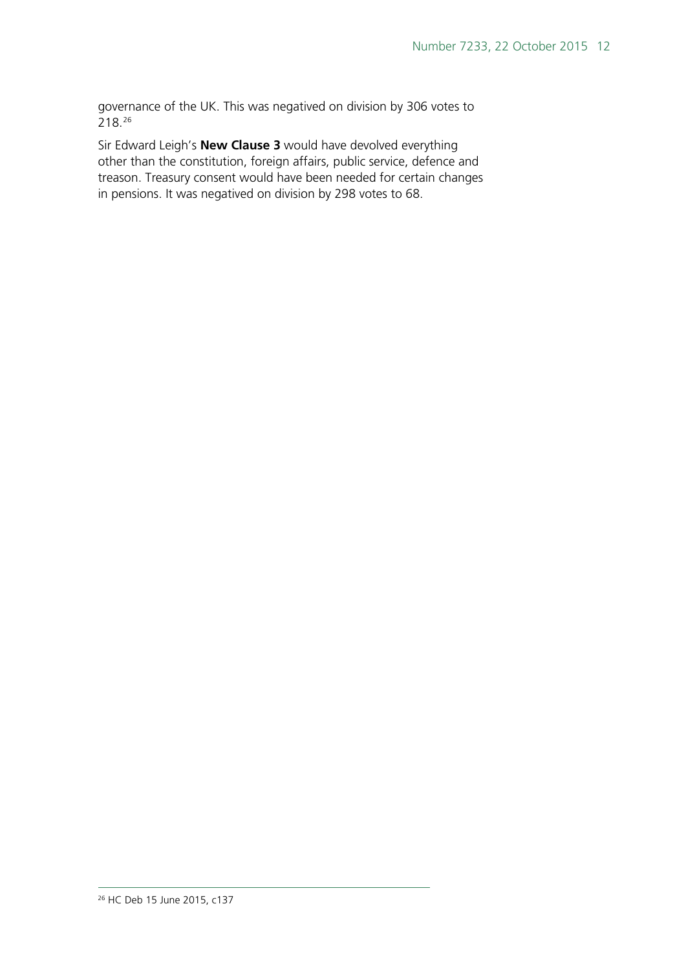governance of the UK. This was negatived on division by 306 votes to 218.[26](#page-11-0)

<span id="page-11-0"></span>Sir Edward Leigh's **New Clause 3** would have devolved everything other than the constitution, foreign affairs, public service, defence and treason. Treasury consent would have been needed for certain changes in pensions. It was negatived on division by 298 votes to 68.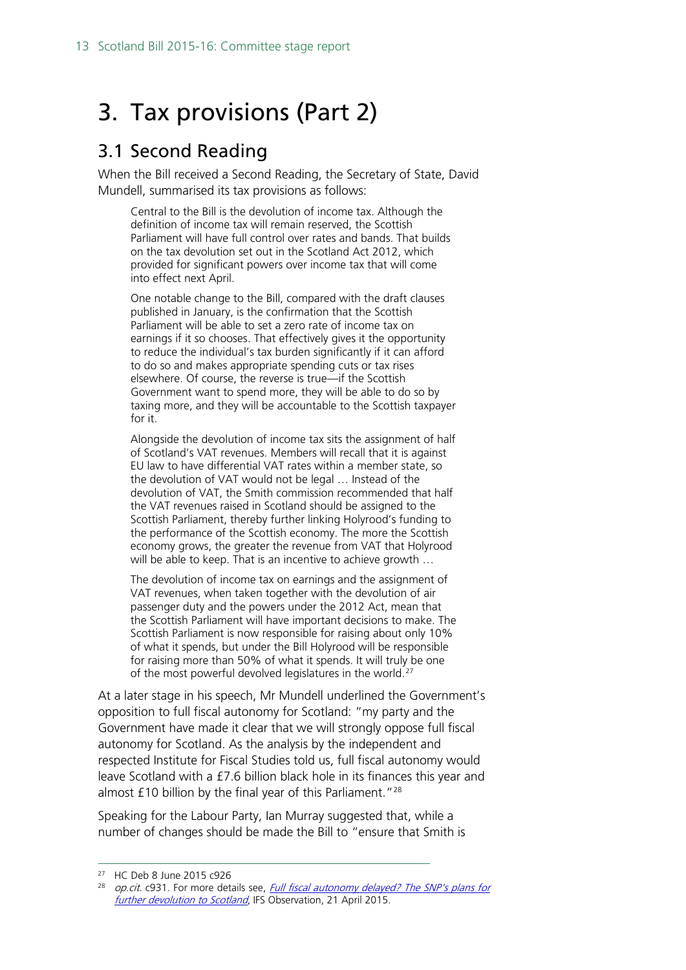# <span id="page-12-0"></span>3. Tax provisions (Part 2)

#### <span id="page-12-1"></span>3.1 Second Reading

When the Bill received a Second Reading, the Secretary of State, David Mundell, summarised its tax provisions as follows:

Central to the Bill is the devolution of income tax. Although the definition of income tax will remain reserved, the Scottish Parliament will have full control over rates and bands. That builds on the tax devolution set out in the Scotland Act 2012, which provided for significant powers over income tax that will come into effect next April.

One notable change to the Bill, compared with the draft clauses published in January, is the confirmation that the Scottish Parliament will be able to set a zero rate of income tax on earnings if it so chooses. That effectively gives it the opportunity to reduce the individual's tax burden significantly if it can afford to do so and makes appropriate spending cuts or tax rises elsewhere. Of course, the reverse is true—if the Scottish Government want to spend more, they will be able to do so by taxing more, and they will be accountable to the Scottish taxpayer for it.

Alongside the devolution of income tax sits the assignment of half of Scotland's VAT revenues. Members will recall that it is against EU law to have differential VAT rates within a member state, so the devolution of VAT would not be legal … Instead of the devolution of VAT, the Smith commission recommended that half the VAT revenues raised in Scotland should be assigned to the Scottish Parliament, thereby further linking Holyrood's funding to the performance of the Scottish economy. The more the Scottish economy grows, the greater the revenue from VAT that Holyrood will be able to keep. That is an incentive to achieve growth ...

The devolution of income tax on earnings and the assignment of VAT revenues, when taken together with the devolution of air passenger duty and the powers under the 2012 Act, mean that the Scottish Parliament will have important decisions to make. The Scottish Parliament is now responsible for raising about only 10% of what it spends, but under the Bill Holyrood will be responsible for raising more than 50% of what it spends. It will truly be one of the most powerful devolved legislatures in the world.<sup>[27](#page-12-2)</sup>

At a later stage in his speech, Mr Mundell underlined the Government's opposition to full fiscal autonomy for Scotland: "my party and the Government have made it clear that we will strongly oppose full fiscal autonomy for Scotland. As the analysis by the independent and respected Institute for Fiscal Studies told us, full fiscal autonomy would leave Scotland with a £7.6 billion black hole in its finances this year and almost £10 billion by the final year of this Parliament."[28](#page-12-3)

Speaking for the Labour Party, Ian Murray suggested that, while a number of changes should be made the Bill to "ensure that Smith is

<span id="page-12-3"></span><span id="page-12-2"></span> <sup>27</sup> HC Deb 8 June 2015 c926

op.cit. c931. For more details see, Full fiscal autonomy delayed? The SNP's plans for [further devolution to Scotland](http://www.ifs.org.uk/publications/7722), IFS Observation, 21 April 2015.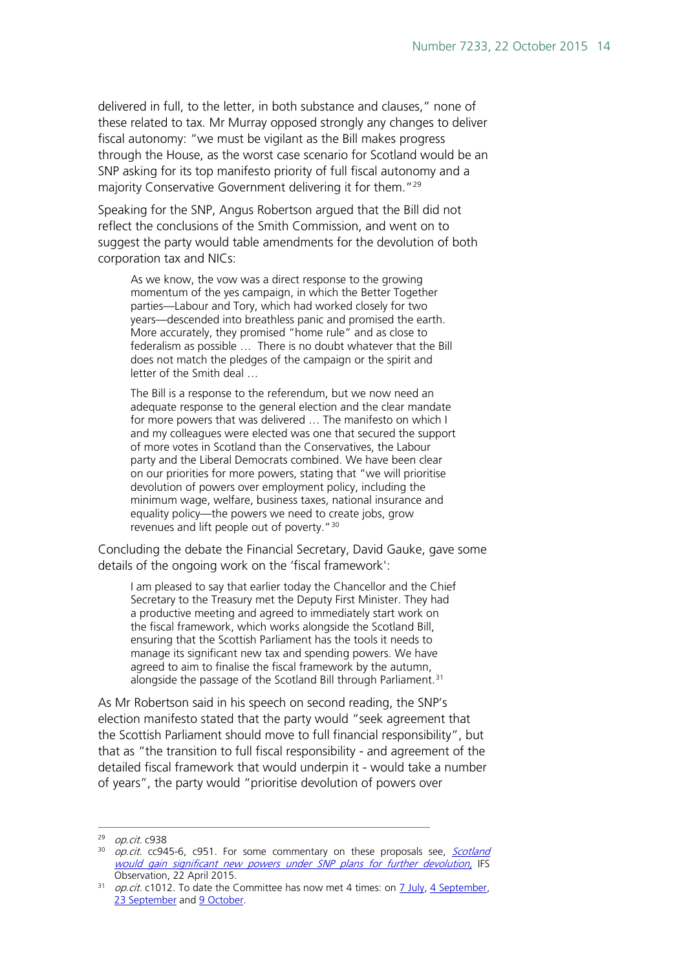delivered in full, to the letter, in both substance and clauses," none of these related to tax. Mr Murray opposed strongly any changes to deliver fiscal autonomy: "we must be vigilant as the Bill makes progress through the House, as the worst case scenario for Scotland would be an SNP asking for its top manifesto priority of full fiscal autonomy and a majority Conservative Government delivering it for them."<sup>[29](#page-13-0)</sup>

Speaking for the SNP, Angus Robertson argued that the Bill did not reflect the conclusions of the Smith Commission, and went on to suggest the party would table amendments for the devolution of both corporation tax and NICs:

As we know, the vow was a direct response to the growing momentum of the yes campaign, in which the Better Together parties—Labour and Tory, which had worked closely for two years—descended into breathless panic and promised the earth. More accurately, they promised "home rule" and as close to federalism as possible … There is no doubt whatever that the Bill does not match the pledges of the campaign or the spirit and letter of the Smith deal …

The Bill is a response to the referendum, but we now need an adequate response to the general election and the clear mandate for more powers that was delivered … The manifesto on which I and my colleagues were elected was one that secured the support of more votes in Scotland than the Conservatives, the Labour party and the Liberal Democrats combined. We have been clear on our priorities for more powers, stating that "we will prioritise devolution of powers over employment policy, including the minimum wage, welfare, business taxes, national insurance and equality policy—the powers we need to create jobs, grow revenues and lift people out of poverty."[30](#page-13-1)

Concluding the debate the Financial Secretary, David Gauke, gave some details of the ongoing work on the 'fiscal framework':

I am pleased to say that earlier today the Chancellor and the Chief Secretary to the Treasury met the Deputy First Minister. They had a productive meeting and agreed to immediately start work on the fiscal framework, which works alongside the Scotland Bill, ensuring that the Scottish Parliament has the tools it needs to manage its significant new tax and spending powers. We have agreed to aim to finalise the fiscal framework by the autumn, alongside the passage of the Scotland Bill through Parliament.<sup>[31](#page-13-2)</sup>

As Mr Robertson said in his speech on second reading, the SNP's election manifesto stated that the party would "seek agreement that the Scottish Parliament should move to full financial responsibility", but that as "the transition to full fiscal responsibility - and agreement of the detailed fiscal framework that would underpin it - would take a number of years", the party would "prioritise devolution of powers over

<span id="page-13-0"></span> <sup>29</sup> op.cit. c938

<span id="page-13-1"></span> $30$  op.cit. cc945-6, c951. For some commentary on these proposals see, Scotland [would gain significant new powers under SNP plans for further devolution,](http://www.ifs.org.uk/publications/7724) IFS Observation, 22 April 2015.

<span id="page-13-2"></span> $31$  *op.cit.* c1012. To date the Committee has now met 4 times: on  $\frac{7 \text{ July}}{4 \text{ September}}$ [23 September](https://www.gov.uk/government/publications/joint-exchequer-committee-23-september-2015) and [9 October.](https://www.gov.uk/government/publications/joint-exchequer-committee-9-october-2015)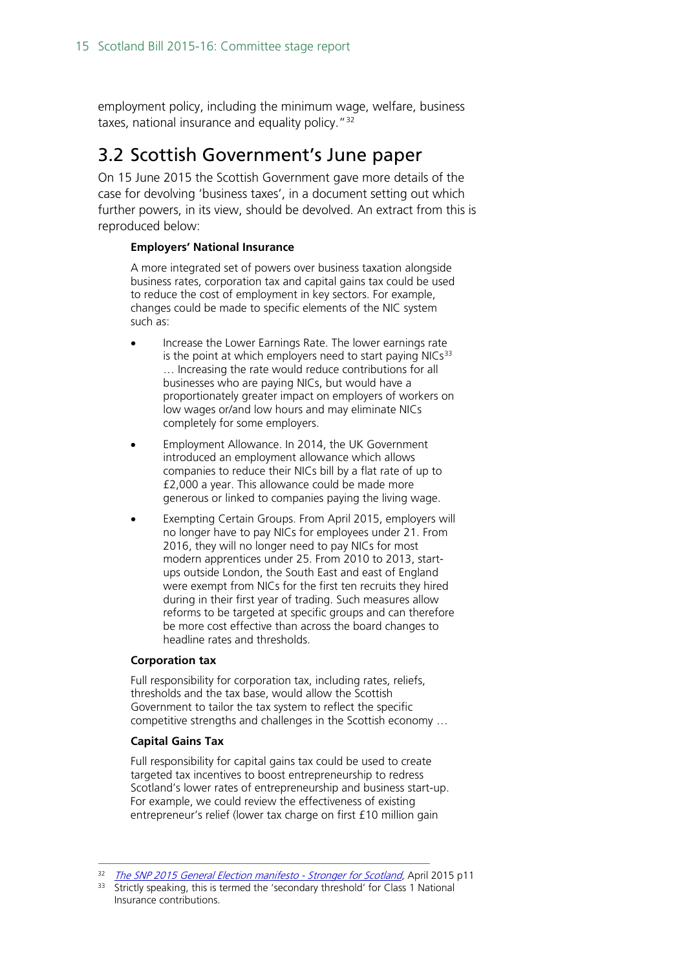employment policy, including the minimum wage, welfare, business taxes, national insurance and equality policy."<sup>[32](#page-14-1)</sup>

#### <span id="page-14-0"></span>3.2 Scottish Government's June paper

On 15 June 2015 the Scottish Government gave more details of the case for devolving 'business taxes', in a document setting out which further powers, in its view, should be devolved. An extract from this is reproduced below:

#### **Employers' National Insurance**

A more integrated set of powers over business taxation alongside business rates, corporation tax and capital gains tax could be used to reduce the cost of employment in key sectors. For example, changes could be made to specific elements of the NIC system such as:

- Increase the Lower Earnings Rate. The lower earnings rate is the point at which employers need to start paying  $NICs<sup>33</sup>$  $NICs<sup>33</sup>$  $NICs<sup>33</sup>$ … Increasing the rate would reduce contributions for all businesses who are paying NICs, but would have a proportionately greater impact on employers of workers on low wages or/and low hours and may eliminate NICs completely for some employers.
- Employment Allowance. In 2014, the UK Government introduced an employment allowance which allows companies to reduce their NICs bill by a flat rate of up to £2,000 a year. This allowance could be made more generous or linked to companies paying the living wage.
- Exempting Certain Groups. From April 2015, employers will no longer have to pay NICs for employees under 21. From 2016, they will no longer need to pay NICs for most modern apprentices under 25. From 2010 to 2013, startups outside London, the South East and east of England were exempt from NICs for the first ten recruits they hired during in their first year of trading. Such measures allow reforms to be targeted at specific groups and can therefore be more cost effective than across the board changes to headline rates and thresholds.

#### **Corporation tax**

Full responsibility for corporation tax, including rates, reliefs, thresholds and the tax base, would allow the Scottish Government to tailor the tax system to reflect the specific competitive strengths and challenges in the Scottish economy …

#### **Capital Gains Tax**

Full responsibility for capital gains tax could be used to create targeted tax incentives to boost entrepreneurship to redress Scotland's lower rates of entrepreneurship and business start-up. For example, we could review the effectiveness of existing entrepreneur's relief (lower tax charge on first £10 million gain

<span id="page-14-2"></span><span id="page-14-1"></span><sup>&</sup>lt;sup>32</sup> [The SNP 2015 General Election manifesto -](http://www.snp.org/sites/default/files/page/file/04_16d_snp_election_manifesto_290x280x.pdf) Stronger for Scotland, April 2015 p11

Strictly speaking, this is termed the 'secondary threshold' for Class 1 National Insurance contributions.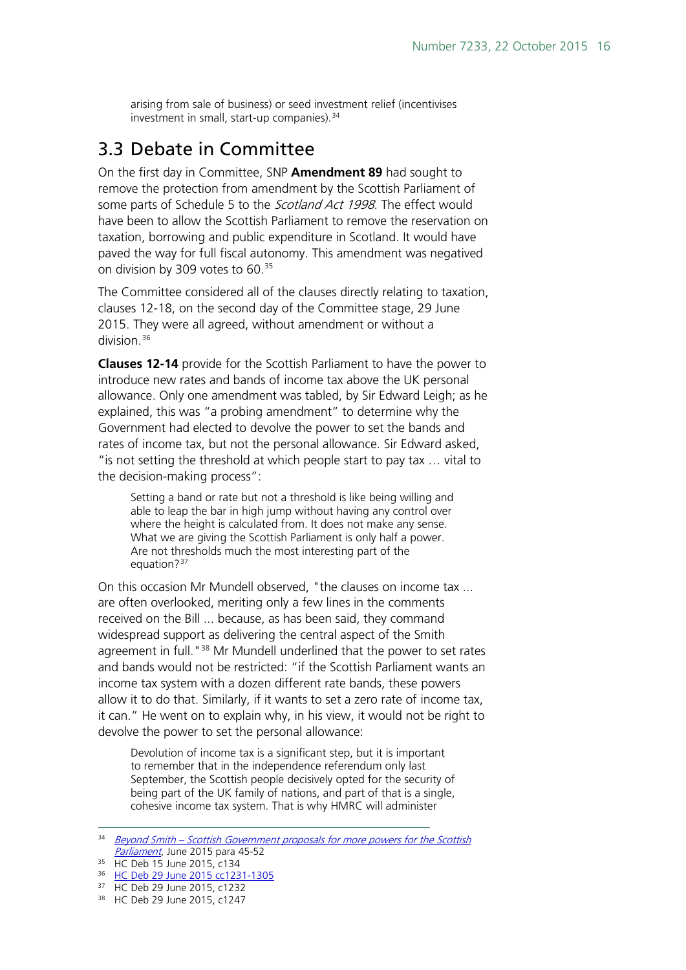arising from sale of business) or seed investment relief (incentivises investment in small, start-up companies).<sup>[34](#page-15-1)</sup>

#### <span id="page-15-0"></span>3.3 Debate in Committee

On the first day in Committee, SNP **Amendment 89** had sought to remove the protection from amendment by the Scottish Parliament of some parts of Schedule 5 to the Scotland Act 1998. The effect would have been to allow the Scottish Parliament to remove the reservation on taxation, borrowing and public expenditure in Scotland. It would have paved the way for full fiscal autonomy. This amendment was negatived on division by 309 votes to 60. [35](#page-15-2)

The Committee considered all of the clauses directly relating to taxation, clauses 12-18, on the second day of the Committee stage, 29 June 2015. They were all agreed, without amendment or without a division<sup>[36](#page-15-3)</sup>

**Clauses 12-14** provide for the Scottish Parliament to have the power to introduce new rates and bands of income tax above the UK personal allowance. Only one amendment was tabled, by Sir Edward Leigh; as he explained, this was "a probing amendment" to determine why the Government had elected to devolve the power to set the bands and rates of income tax, but not the personal allowance. Sir Edward asked, "is not setting the threshold at which people start to pay tax … vital to the decision-making process":

Setting a band or rate but not a threshold is like being willing and able to leap the bar in high jump without having any control over where the height is calculated from. It does not make any sense. What we are giving the Scottish Parliament is only half a power. Are not thresholds much the most interesting part of the equation?<sup>[37](#page-15-4)</sup>

On this occasion Mr Mundell observed, "the clauses on income tax ... are often overlooked, meriting only a few lines in the comments received on the Bill ... because, as has been said, they command widespread support as delivering the central aspect of the Smith agreement in full. "<sup>[38](#page-15-5)</sup> Mr Mundell underlined that the power to set rates and bands would not be restricted: "if the Scottish Parliament wants an income tax system with a dozen different rate bands, these powers allow it to do that. Similarly, if it wants to set a zero rate of income tax, it can." He went on to explain why, in his view, it would not be right to devolve the power to set the personal allowance:

Devolution of income tax is a significant step, but it is important to remember that in the independence referendum only last September, the Scottish people decisively opted for the security of being part of the UK family of nations, and part of that is a single, cohesive income tax system. That is why HMRC will administer

<span id="page-15-1"></span><sup>&</sup>lt;sup>34</sup> Beyond Smith – Scottish Government proposals for more powers for the Scottish [Parliament](http://www.gov.scot/Topics/constitution/publications/morepowersproposals), June 2015 para 45-52

<span id="page-15-2"></span><sup>&</sup>lt;sup>35</sup> HC Deb 15 June 2015, c134

<span id="page-15-3"></span><sup>36</sup> [HC Deb 29 June 2015 cc1231-1305](http://www.publications.parliament.uk/pa/cm201516/cmhansrd/cm150629/debtext/150629-0002.htm%2315062912000001)

<span id="page-15-5"></span><span id="page-15-4"></span><sup>37</sup> HC Deb 29 June 2015, c1232

<sup>38</sup> HC Deb 29 June 2015, c1247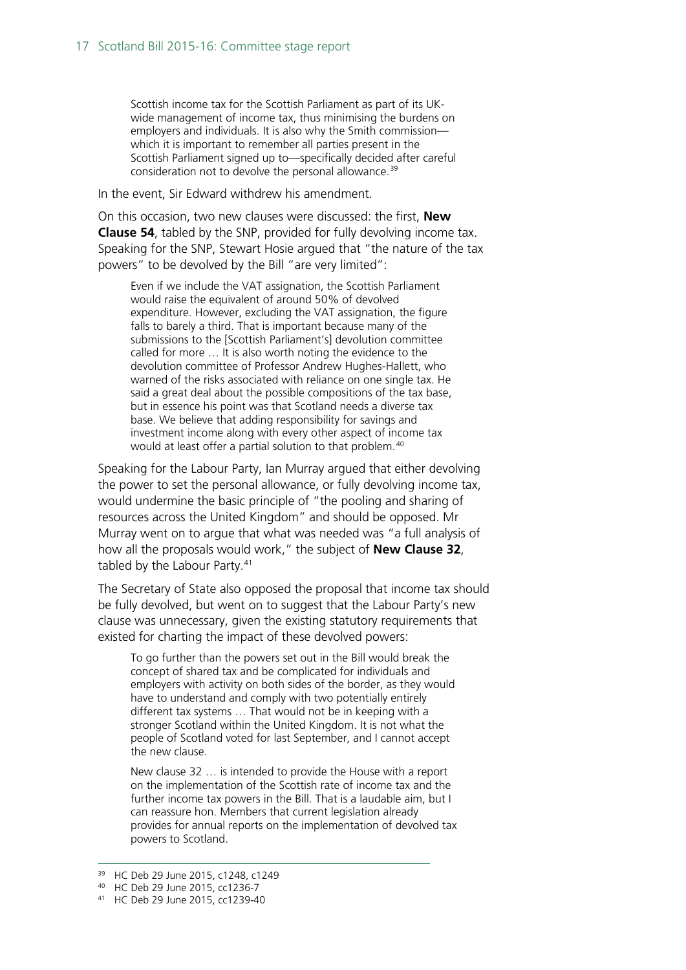Scottish income tax for the Scottish Parliament as part of its UKwide management of income tax, thus minimising the burdens on employers and individuals. It is also why the Smith commission which it is important to remember all parties present in the Scottish Parliament signed up to—specifically decided after careful consideration not to devolve the personal allowance.<sup>[39](#page-16-0)</sup>

In the event, Sir Edward withdrew his amendment.

On this occasion, two new clauses were discussed: the first, **New Clause 54**, tabled by the SNP, provided for fully devolving income tax. Speaking for the SNP, Stewart Hosie argued that "the nature of the tax powers" to be devolved by the Bill "are very limited":

Even if we include the VAT assignation, the Scottish Parliament would raise the equivalent of around 50% of devolved expenditure. However, excluding the VAT assignation, the figure falls to barely a third. That is important because many of the submissions to the [Scottish Parliament's] devolution committee called for more … It is also worth noting the evidence to the devolution committee of Professor Andrew Hughes-Hallett, who warned of the risks associated with reliance on one single tax. He said a great deal about the possible compositions of the tax base, but in essence his point was that Scotland needs a diverse tax base. We believe that adding responsibility for savings and investment income along with every other aspect of income tax would at least offer a partial solution to that problem.<sup>[40](#page-16-1)</sup>

Speaking for the Labour Party, Ian Murray argued that either devolving the power to set the personal allowance, or fully devolving income tax, would undermine the basic principle of "the pooling and sharing of resources across the United Kingdom" and should be opposed. Mr Murray went on to argue that what was needed was "a full analysis of how all the proposals would work," the subject of **New Clause 32**, tabled by the Labour Party. [41](#page-16-2)

The Secretary of State also opposed the proposal that income tax should be fully devolved, but went on to suggest that the Labour Party's new clause was unnecessary, given the existing statutory requirements that existed for charting the impact of these devolved powers:

To go further than the powers set out in the Bill would break the concept of shared tax and be complicated for individuals and employers with activity on both sides of the border, as they would have to understand and comply with two potentially entirely different tax systems … That would not be in keeping with a stronger Scotland within the United Kingdom. It is not what the people of Scotland voted for last September, and I cannot accept the new clause.

New clause 32 … is intended to provide the House with a report on the implementation of the Scottish rate of income tax and the further income tax powers in the Bill. That is a laudable aim, but I can reassure hon. Members that current legislation already provides for annual reports on the implementation of devolved tax powers to Scotland.

<sup>39</sup> HC Deb 29 June 2015, c1248, c1249

<span id="page-16-1"></span><span id="page-16-0"></span><sup>40</sup> HC Deb 29 June 2015, cc1236-7

<span id="page-16-2"></span><sup>41</sup> HC Deb 29 June 2015, cc1239-40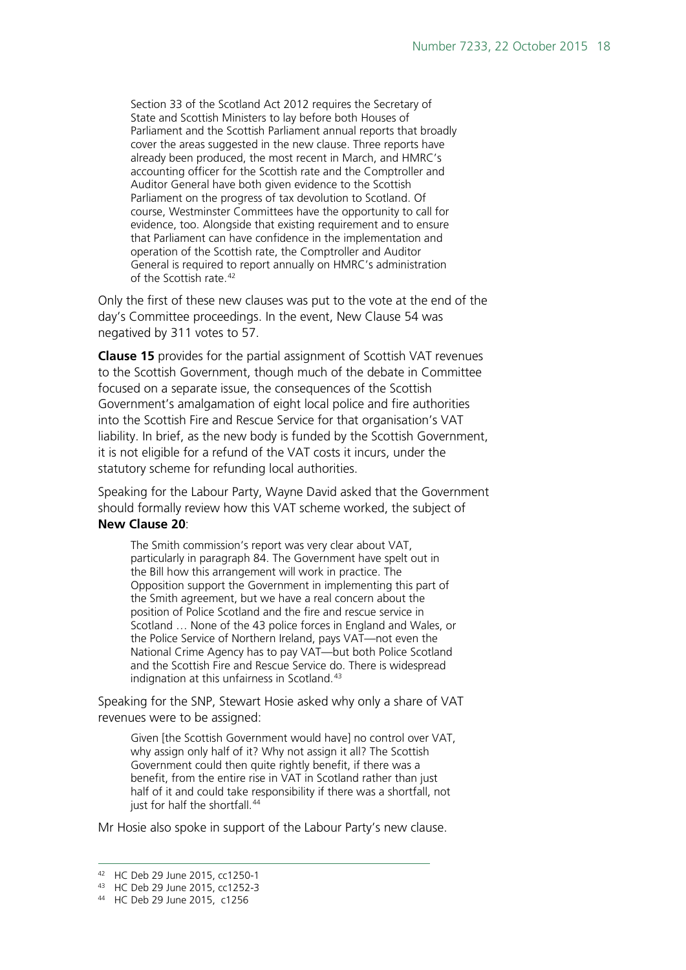Section 33 of the Scotland Act 2012 requires the Secretary of State and Scottish Ministers to lay before both Houses of Parliament and the Scottish Parliament annual reports that broadly cover the areas suggested in the new clause. Three reports have already been produced, the most recent in March, and HMRC's accounting officer for the Scottish rate and the Comptroller and Auditor General have both given evidence to the Scottish Parliament on the progress of tax devolution to Scotland. Of course, Westminster Committees have the opportunity to call for evidence, too. Alongside that existing requirement and to ensure that Parliament can have confidence in the implementation and operation of the Scottish rate, the Comptroller and Auditor General is required to report annually on HMRC's administration of the Scottish rate.<sup>[42](#page-17-0)</sup>

Only the first of these new clauses was put to the vote at the end of the day's Committee proceedings. In the event, New Clause 54 was negatived by 311 votes to 57.

**Clause 15** provides for the partial assignment of Scottish VAT revenues to the Scottish Government, though much of the debate in Committee focused on a separate issue, the consequences of the Scottish Government's amalgamation of eight local police and fire authorities into the Scottish Fire and Rescue Service for that organisation's VAT liability. In brief, as the new body is funded by the Scottish Government, it is not eligible for a refund of the VAT costs it incurs, under the statutory scheme for refunding local authorities.

Speaking for the Labour Party, Wayne David asked that the Government should formally review how this VAT scheme worked, the subject of **New Clause 20**:

The Smith commission's report was very clear about VAT, particularly in paragraph 84. The Government have spelt out in the Bill how this arrangement will work in practice. The Opposition support the Government in implementing this part of the Smith agreement, but we have a real concern about the position of Police Scotland and the fire and rescue service in Scotland … None of the 43 police forces in England and Wales, or the Police Service of Northern Ireland, pays VAT—not even the National Crime Agency has to pay VAT—but both Police Scotland and the Scottish Fire and Rescue Service do. There is widespread indignation at this unfairness in Scotland.<sup>[43](#page-17-1)</sup>

Speaking for the SNP, Stewart Hosie asked why only a share of VAT revenues were to be assigned:

Given [the Scottish Government would have] no control over VAT, why assign only half of it? Why not assign it all? The Scottish Government could then quite rightly benefit, if there was a benefit, from the entire rise in VAT in Scotland rather than just half of it and could take responsibility if there was a shortfall, not just for half the shortfall.<sup>[44](#page-17-2)</sup>

Mr Hosie also spoke in support of the Labour Party's new clause.

<span id="page-17-0"></span> <sup>42</sup> HC Deb 29 June 2015, cc1250-1

<span id="page-17-1"></span><sup>43</sup> HC Deb 29 June 2015, cc1252-3

<span id="page-17-2"></span><sup>44</sup> HC Deb 29 June 2015, c1256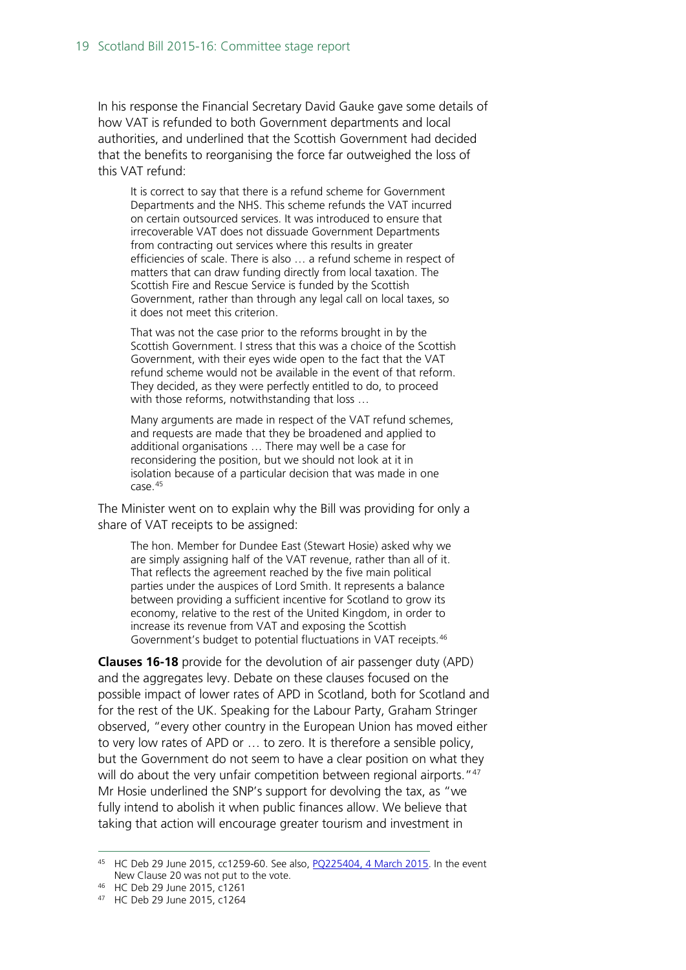In his response the Financial Secretary David Gauke gave some details of how VAT is refunded to both Government departments and local authorities, and underlined that the Scottish Government had decided that the benefits to reorganising the force far outweighed the loss of this VAT refund:

It is correct to say that there is a refund scheme for Government Departments and the NHS. This scheme refunds the VAT incurred on certain outsourced services. It was introduced to ensure that irrecoverable VAT does not dissuade Government Departments from contracting out services where this results in greater efficiencies of scale. There is also … a refund scheme in respect of matters that can draw funding directly from local taxation. The Scottish Fire and Rescue Service is funded by the Scottish Government, rather than through any legal call on local taxes, so it does not meet this criterion.

That was not the case prior to the reforms brought in by the Scottish Government. I stress that this was a choice of the Scottish Government, with their eyes wide open to the fact that the VAT refund scheme would not be available in the event of that reform. They decided, as they were perfectly entitled to do, to proceed with those reforms, notwithstanding that loss …

Many arguments are made in respect of the VAT refund schemes, and requests are made that they be broadened and applied to additional organisations … There may well be a case for reconsidering the position, but we should not look at it in isolation because of a particular decision that was made in one case.[45](#page-18-0)

The Minister went on to explain why the Bill was providing for only a share of VAT receipts to be assigned:

The hon. Member for Dundee East (Stewart Hosie) asked why we are simply assigning half of the VAT revenue, rather than all of it. That reflects the agreement reached by the five main political parties under the auspices of Lord Smith. It represents a balance between providing a sufficient incentive for Scotland to grow its economy, relative to the rest of the United Kingdom, in order to increase its revenue from VAT and exposing the Scottish Government's budget to potential fluctuations in VAT receipts.[46](#page-18-1)

**Clauses 16-18** provide for the devolution of air passenger duty (APD) and the aggregates levy. Debate on these clauses focused on the possible impact of lower rates of APD in Scotland, both for Scotland and for the rest of the UK. Speaking for the Labour Party, Graham Stringer observed, "every other country in the European Union has moved either to very low rates of APD or … to zero. It is therefore a sensible policy, but the Government do not seem to have a clear position on what they will do about the very unfair competition between regional airports."<sup>[47](#page-18-2)</sup> Mr Hosie underlined the SNP's support for devolving the tax, as "we fully intend to abolish it when public finances allow. We believe that taking that action will encourage greater tourism and investment in

<span id="page-18-0"></span> <sup>45</sup> HC Deb 29 June 2015, cc1259-60. See also, [PQ225404, 4 March 2015.](http://www.parliament.uk/written-questions-answers-statements/written-question/commons/2015-02-25/225404) In the event New Clause 20 was not put to the vote.

<span id="page-18-1"></span><sup>46</sup> HC Deb 29 June 2015, c1261

<span id="page-18-2"></span><sup>47</sup> HC Deb 29 June 2015, c1264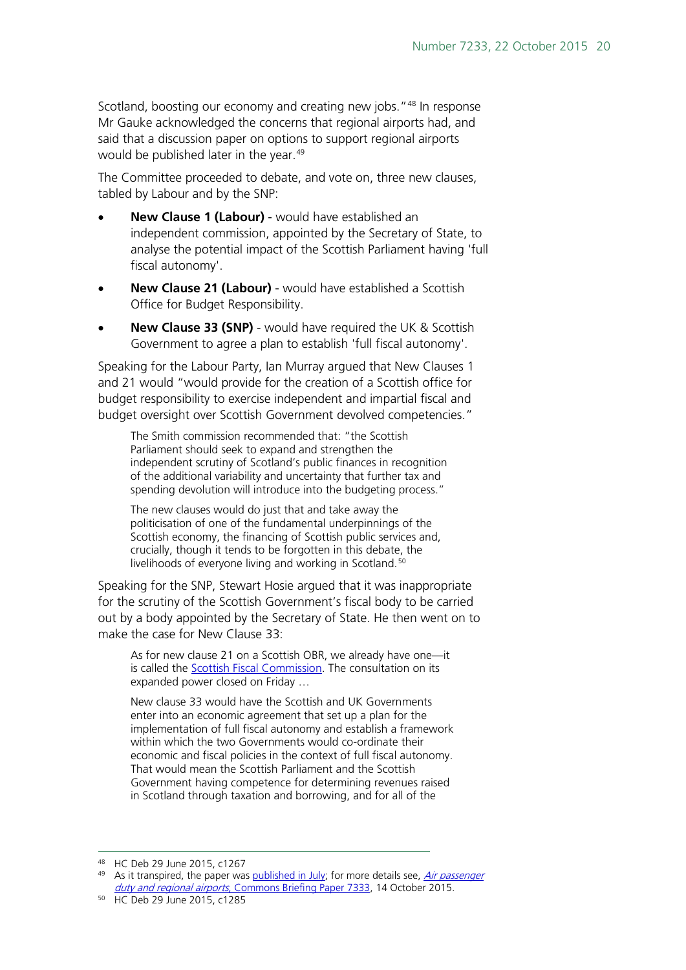Scotland, boosting our economy and creating new jobs."<sup>[48](#page-19-0)</sup> In response Mr Gauke acknowledged the concerns that regional airports had, and said that a discussion paper on options to support regional airports would be published later in the year. [49](#page-19-1)

The Committee proceeded to debate, and vote on, three new clauses, tabled by Labour and by the SNP:

- **New Clause 1 (Labour)** would have established an independent commission, appointed by the Secretary of State, to analyse the potential impact of the Scottish Parliament having 'full fiscal autonomy'.
- **New Clause 21 (Labour)** would have established a Scottish Office for Budget Responsibility.
- **New Clause 33 (SNP)** would have required the UK & Scottish Government to agree a plan to establish 'full fiscal autonomy'.

Speaking for the Labour Party, Ian Murray argued that New Clauses 1 and 21 would "would provide for the creation of a Scottish office for budget responsibility to exercise independent and impartial fiscal and budget oversight over Scottish Government devolved competencies."

The Smith commission recommended that: "the Scottish Parliament should seek to expand and strengthen the independent scrutiny of Scotland's public finances in recognition of the additional variability and uncertainty that further tax and spending devolution will introduce into the budgeting process."

The new clauses would do just that and take away the politicisation of one of the fundamental underpinnings of the Scottish economy, the financing of Scottish public services and, crucially, though it tends to be forgotten in this debate, the livelihoods of everyone living and working in Scotland.<sup>[50](#page-19-2)</sup>

Speaking for the SNP, Stewart Hosie argued that it was inappropriate for the scrutiny of the Scottish Government's fiscal body to be carried out by a body appointed by the Secretary of State. He then went on to make the case for New Clause 33:

As for new clause 21 on a Scottish OBR, we already have one—it is called the **Scottish Fiscal Commission**. The consultation on its expanded power closed on Friday …

New clause 33 would have the Scottish and UK Governments enter into an economic agreement that set up a plan for the implementation of full fiscal autonomy and establish a framework within which the two Governments would co-ordinate their economic and fiscal policies in the context of full fiscal autonomy. That would mean the Scottish Parliament and the Scottish Government having competence for determining revenues raised in Scotland through taxation and borrowing, and for all of the

<span id="page-19-0"></span> <sup>48</sup> HC Deb 29 June 2015, c1267

<span id="page-19-1"></span><sup>49</sup> As it transpired, the paper was [published in July;](https://www.gov.uk/government/publications/discussion-paper-on-options-for-supporting-english-regional-airports-from-the-impacts-of-air-passenger-duty-devolution) for more details see, Air passenger duty and regional airports[, Commons Briefing Paper 7333,](http://researchbriefings.parliament.uk/ResearchBriefing/Summary/CBP-7333) 14 October 2015.

<span id="page-19-2"></span><sup>50</sup> HC Deb 29 June 2015, c1285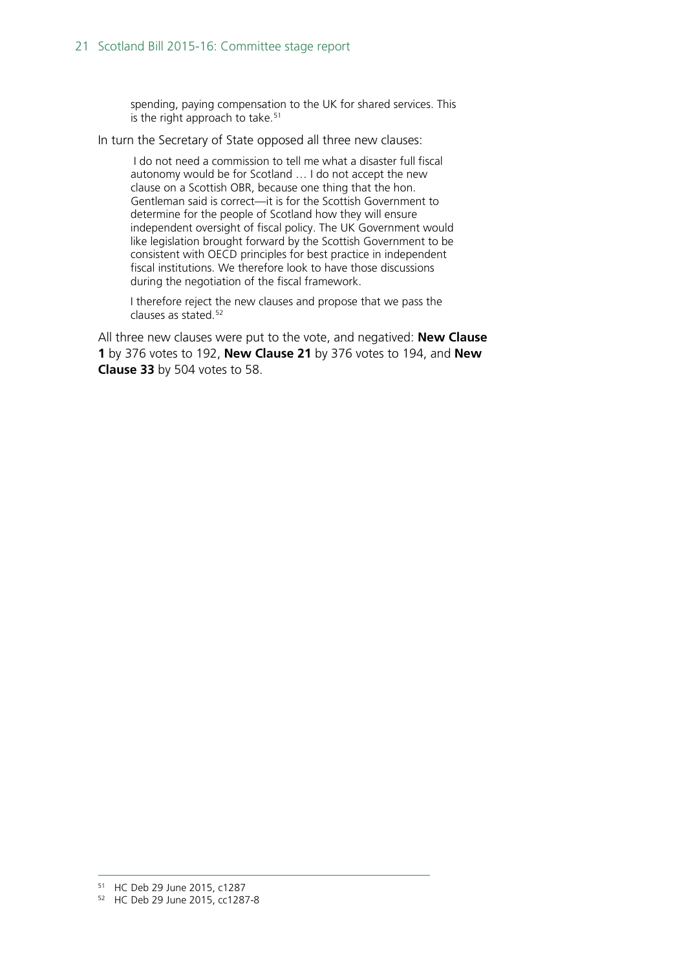spending, paying compensation to the UK for shared services. This is the right approach to take.<sup>[51](#page-20-0)</sup>

In turn the Secretary of State opposed all three new clauses:

I do not need a commission to tell me what a disaster full fiscal autonomy would be for Scotland … I do not accept the new clause on a Scottish OBR, because one thing that the hon. Gentleman said is correct—it is for the Scottish Government to determine for the people of Scotland how they will ensure independent oversight of fiscal policy. The UK Government would like legislation brought forward by the Scottish Government to be consistent with OECD principles for best practice in independent fiscal institutions. We therefore look to have those discussions during the negotiation of the fiscal framework.

I therefore reject the new clauses and propose that we pass the clauses as stated. $52$ 

All three new clauses were put to the vote, and negatived: **New Clause 1** by 376 votes to 192, **New Clause 21** by 376 votes to 194, and **New Clause 33** by 504 votes to 58.

<span id="page-20-0"></span> <sup>51</sup> HC Deb 29 June 2015, c1287

<span id="page-20-1"></span><sup>52</sup> HC Deb 29 June 2015, cc1287-8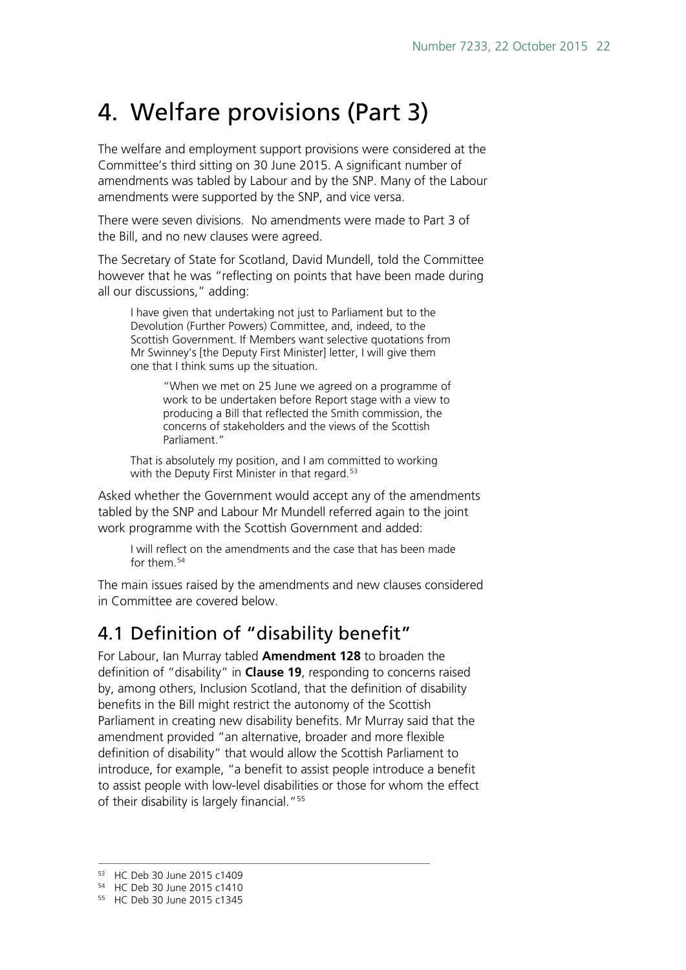# <span id="page-21-0"></span>4. Welfare provisions (Part 3)

The welfare and employment support provisions were considered at the Committee's third sitting on 30 June 2015. A significant number of amendments was tabled by Labour and by the SNP. Many of the Labour amendments were supported by the SNP, and vice versa.

There were seven divisions. No amendments were made to Part 3 of the Bill, and no new clauses were agreed.

The Secretary of State for Scotland, David Mundell, told the Committee however that he was "reflecting on points that have been made during all our discussions," adding:

I have given that undertaking not just to Parliament but to the Devolution (Further Powers) Committee, and, indeed, to the Scottish Government. If Members want selective quotations from Mr Swinney's [the Deputy First Minister] letter, I will give them one that I think sums up the situation.

> "When we met on 25 June we agreed on a programme of work to be undertaken before Report stage with a view to producing a Bill that reflected the Smith commission, the concerns of stakeholders and the views of the Scottish Parliament."

That is absolutely my position, and I am committed to working with the Deputy First Minister in that regard.<sup>[53](#page-21-2)</sup>

Asked whether the Government would accept any of the amendments tabled by the SNP and Labour Mr Mundell referred again to the joint work programme with the Scottish Government and added:

I will reflect on the amendments and the case that has been made for them.<sup>[54](#page-21-3)</sup>

The main issues raised by the amendments and new clauses considered in Committee are covered below.

## <span id="page-21-1"></span>4.1 Definition of "disability benefit"

For Labour, Ian Murray tabled **Amendment 128** to broaden the definition of "disability" in **Clause 19**, responding to concerns raised by, among others, Inclusion Scotland, that the definition of disability benefits in the Bill might restrict the autonomy of the Scottish Parliament in creating new disability benefits. Mr Murray said that the amendment provided "an alternative, broader and more flexible definition of disability" that would allow the Scottish Parliament to introduce, for example, "a benefit to assist people introduce a benefit to assist people with low-level disabilities or those for whom the effect of their disability is largely financial."<sup>[55](#page-21-4)</sup>

<span id="page-21-2"></span> <sup>53</sup> HC Deb 30 June 2015 c1409

<span id="page-21-3"></span><sup>54</sup> HC Deb 30 June 2015 c1410

<span id="page-21-4"></span><sup>55</sup> HC Deb 30 June 2015 c1345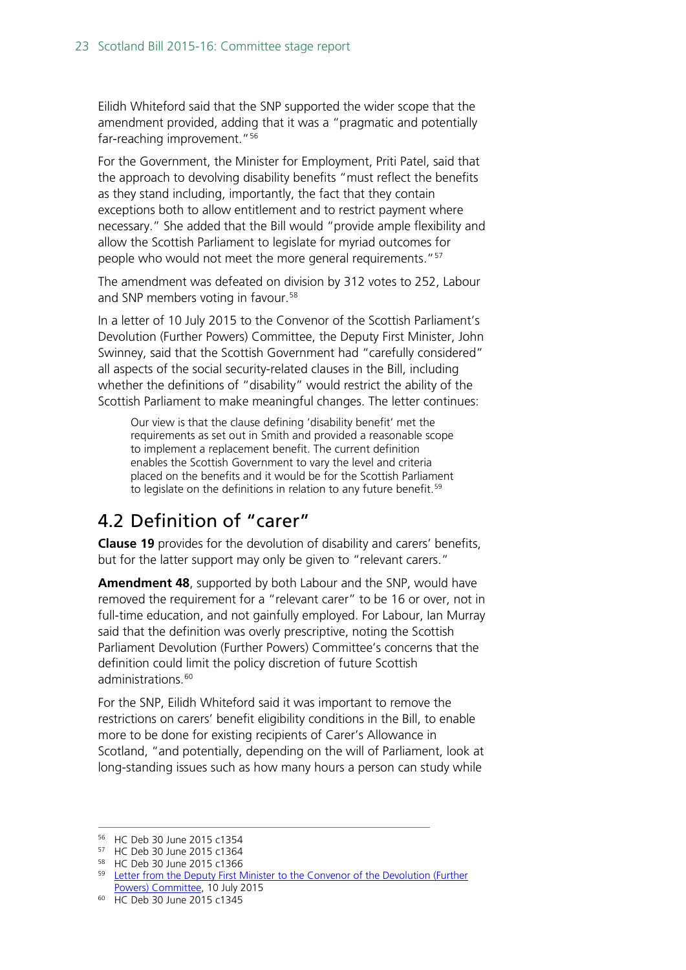Eilidh Whiteford said that the SNP supported the wider scope that the amendment provided, adding that it was a "pragmatic and potentially far-reaching improvement."<sup>[56](#page-22-1)</sup>

For the Government, the Minister for Employment, Priti Patel, said that the approach to devolving disability benefits "must reflect the benefits as they stand including, importantly, the fact that they contain exceptions both to allow entitlement and to restrict payment where necessary." She added that the Bill would "provide ample flexibility and allow the Scottish Parliament to legislate for myriad outcomes for people who would not meet the more general requirements."<sup>[57](#page-22-2)</sup>

The amendment was defeated on division by 312 votes to 252, Labour and SNP members voting in favour. [58](#page-22-3)

In a letter of 10 July 2015 to the Convenor of the Scottish Parliament's Devolution (Further Powers) Committee, the Deputy First Minister, John Swinney, said that the Scottish Government had "carefully considered" all aspects of the social security-related clauses in the Bill, including whether the definitions of "disability" would restrict the ability of the Scottish Parliament to make meaningful changes. The letter continues:

Our view is that the clause defining 'disability benefit' met the requirements as set out in Smith and provided a reasonable scope to implement a replacement benefit. The current definition enables the Scottish Government to vary the level and criteria placed on the benefits and it would be for the Scottish Parliament to legislate on the definitions in relation to any future benefit.<sup>[59](#page-22-4)</sup>

## <span id="page-22-0"></span>4.2 Definition of "carer"

**Clause 19** provides for the devolution of disability and carers' benefits, but for the latter support may only be given to "relevant carers."

**Amendment 48**, supported by both Labour and the SNP, would have removed the requirement for a "relevant carer" to be 16 or over, not in full-time education, and not gainfully employed. For Labour, Ian Murray said that the definition was overly prescriptive, noting the Scottish Parliament Devolution (Further Powers) Committee's concerns that the definition could limit the policy discretion of future Scottish administrations.<sup>[60](#page-22-5)</sup>

For the SNP, Eilidh Whiteford said it was important to remove the restrictions on carers' benefit eligibility conditions in the Bill, to enable more to be done for existing recipients of Carer's Allowance in Scotland, "and potentially, depending on the will of Parliament, look at long-standing issues such as how many hours a person can study while

 <sup>56</sup> HC Deb 30 June 2015 c1354

<span id="page-22-2"></span><span id="page-22-1"></span><sup>57</sup> HC Deb 30 June 2015 c1364

<span id="page-22-3"></span><sup>58</sup> HC Deb 30 June 2015 c1366

<span id="page-22-4"></span><sup>&</sup>lt;sup>59</sup> Letter from the Deputy First Minister to the Convenor of the Devolution (Further [Powers\) Committee,](http://www.scottish.parliament.uk/S4_ScotlandBillCommittee/General%20Documents/2015.07.10_Letter_from_DFM_to_Convener.pdf) 10 July 2015

<span id="page-22-5"></span><sup>60</sup> HC Deb 30 June 2015 c1345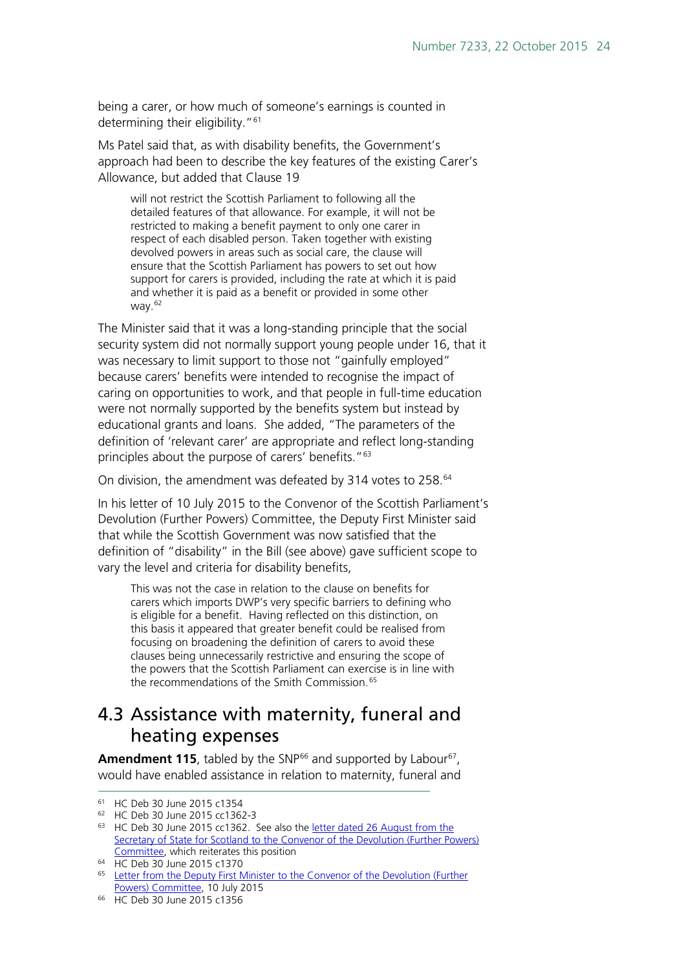being a carer, or how much of someone's earnings is counted in determining their eligibility."<sup>[61](#page-23-1)</sup>

Ms Patel said that, as with disability benefits, the Government's approach had been to describe the key features of the existing Carer's Allowance, but added that Clause 19

will not restrict the Scottish Parliament to following all the detailed features of that allowance. For example, it will not be restricted to making a benefit payment to only one carer in respect of each disabled person. Taken together with existing devolved powers in areas such as social care, the clause will ensure that the Scottish Parliament has powers to set out how support for carers is provided, including the rate at which it is paid and whether it is paid as a benefit or provided in some other way. $62$ 

The Minister said that it was a long-standing principle that the social security system did not normally support young people under 16, that it was necessary to limit support to those not "gainfully employed" because carers' benefits were intended to recognise the impact of caring on opportunities to work, and that people in full-time education were not normally supported by the benefits system but instead by educational grants and loans. She added, "The parameters of the definition of 'relevant carer' are appropriate and reflect long-standing principles about the purpose of carers' benefits."<sup>63</sup>

On division, the amendment was defeated by 314 votes to 258.<sup>[64](#page-23-4)</sup>

In his letter of 10 July 2015 to the Convenor of the Scottish Parliament's Devolution (Further Powers) Committee, the Deputy First Minister said that while the Scottish Government was now satisfied that the definition of "disability" in the Bill (see above) gave sufficient scope to vary the level and criteria for disability benefits,

This was not the case in relation to the clause on benefits for carers which imports DWP's very specific barriers to defining who is eligible for a benefit. Having reflected on this distinction, on this basis it appeared that greater benefit could be realised from focusing on broadening the definition of carers to avoid these clauses being unnecessarily restrictive and ensuring the scope of the powers that the Scottish Parliament can exercise is in line with the recommendations of the Smith Commission.<sup>[65](#page-23-5)</sup>

#### <span id="page-23-0"></span>4.3 Assistance with maternity, funeral and heating expenses

Amendment 115, tabled by the SNP<sup>[66](#page-23-6)</sup> and supported by Labour<sup>[67](#page-23-1)</sup>, would have enabled assistance in relation to maternity, funeral and

<span id="page-23-1"></span> <sup>61</sup> HC Deb 30 June 2015 c1354

<span id="page-23-2"></span><sup>62</sup> HC Deb 30 June 2015 cc1362-3

<span id="page-23-3"></span><sup>&</sup>lt;sup>63</sup> HC Deb 30 June 2015 cc1362. See also the <u>letter dated 26 August from the</u> Secretary of State for Scotland to the Convenor of the Devolution (Further Powers) [Committee,](http://www.scottish.parliament.uk/2015.08.27_Letter_from_S_of_S_following_25_June_meeting.pdf) which reiterates this position

<span id="page-23-4"></span><sup>64</sup> HC Deb 30 June 2015 c1370

<span id="page-23-5"></span><sup>&</sup>lt;sup>65</sup> Letter from the Deputy First Minister to the Convenor of the Devolution (Further [Powers\) Committee,](http://www.scottish.parliament.uk/S4_ScotlandBillCommittee/General%20Documents/2015.07.10_Letter_from_DFM_to_Convener.pdf) 10 July 2015

<span id="page-23-6"></span><sup>66</sup> HC Deb 30 June 2015 c1356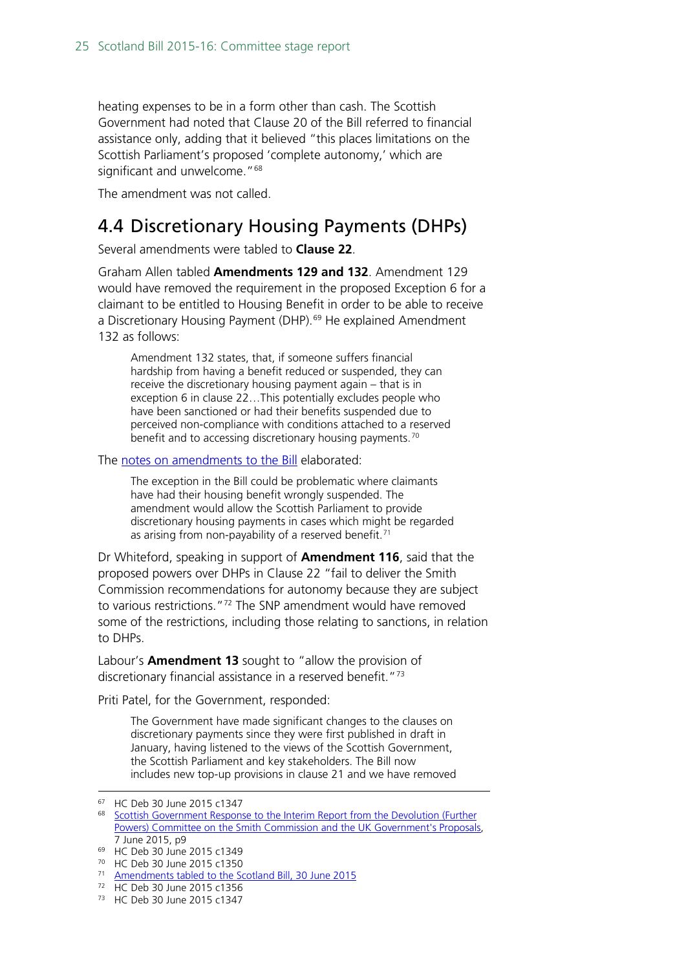heating expenses to be in a form other than cash. The Scottish Government had noted that Clause 20 of the Bill referred to financial assistance only, adding that it believed "this places limitations on the Scottish Parliament's proposed 'complete autonomy,' which are significant and unwelcome."<sup>[68](#page-24-1)</sup>

The amendment was not called.

#### <span id="page-24-0"></span>4.4 Discretionary Housing Payments (DHPs)

Several amendments were tabled to **Clause 22**.

Graham Allen tabled **Amendments 129 and 132**. Amendment 129 would have removed the requirement in the proposed Exception 6 for a claimant to be entitled to Housing Benefit in order to be able to receive a Discretionary Housing Payment (DHP).<sup>[69](#page-24-2)</sup> He explained Amendment 132 as follows:

Amendment 132 states, that, if someone suffers financial hardship from having a benefit reduced or suspended, they can receive the discretionary housing payment again – that is in exception 6 in clause 22…This potentially excludes people who have been sanctioned or had their benefits suspended due to perceived non-compliance with conditions attached to a reserved benefit and to accessing discretionary housing payments.<sup>[70](#page-24-3)</sup>

The [notes on amendments to the Bill](http://www.publications.parliament.uk/pa/bills/cbill/2015-2016/0003/amend/pbc033006m.pdf) elaborated:

The exception in the Bill could be problematic where claimants have had their housing benefit wrongly suspended. The amendment would allow the Scottish Parliament to provide discretionary housing payments in cases which might be regarded as arising from non-payability of a reserved benefit.<sup>[71](#page-24-4)</sup>

Dr Whiteford, speaking in support of **Amendment 116**, said that the proposed powers over DHPs in Clause 22 "fail to deliver the Smith Commission recommendations for autonomy because they are subject to various restrictions.["72](#page-24-5) The SNP amendment would have removed some of the restrictions, including those relating to sanctions, in relation to DHPs.

Labour's **Amendment 13** sought to "allow the provision of discretionary financial assistance in a reserved benefit."<sup>[73](#page-24-6)</sup>

Priti Patel, for the Government, responded:

The Government have made significant changes to the clauses on discretionary payments since they were first published in draft in January, having listened to the views of the Scottish Government, the Scottish Parliament and key stakeholders. The Bill now includes new top-up provisions in clause 21 and we have removed

 <sup>67</sup> HC Deb 30 June 2015 c1347

<span id="page-24-1"></span><sup>&</sup>lt;sup>68</sup> Scottish Government Response to the Interim Report from the Devolution (Further [Powers\) Committee on the Smith Commission and the UK Government's Proposals,](http://www.gov.scot/Resource/0047/00478767.pdf)  7 June 2015, p9

<span id="page-24-2"></span><sup>69</sup> HC Deb 30 June 2015 c1349

<span id="page-24-3"></span><sup>70</sup> HC Deb 30 June 2015 c1350

<span id="page-24-4"></span><sup>71</sup> [Amendments tabled to the Scotland Bill, 30 June 2015](http://www.publications.parliament.uk/pa/bills/cbill/2015-2016/0003/amend/pbc033006m.pdf)

<span id="page-24-5"></span><sup>72</sup> HC Deb 30 June 2015 c1356

<span id="page-24-6"></span><sup>73</sup> HC Deb 30 June 2015 c1347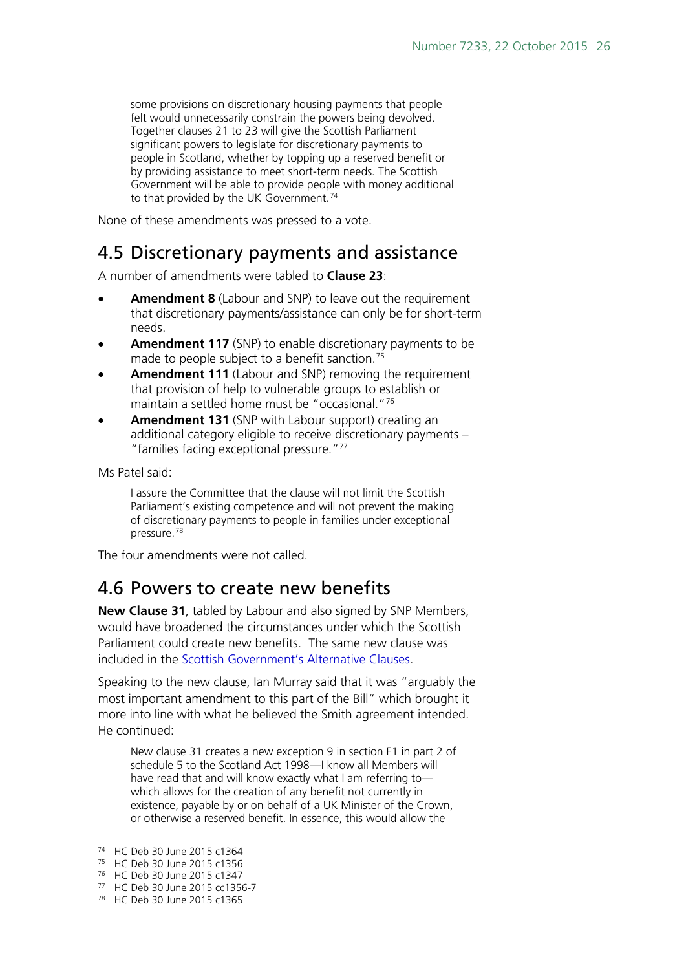some provisions on discretionary housing payments that people felt would unnecessarily constrain the powers being devolved. Together clauses 21 to 23 will give the Scottish Parliament significant powers to legislate for discretionary payments to people in Scotland, whether by topping up a reserved benefit or by providing assistance to meet short-term needs. The Scottish Government will be able to provide people with money additional to that provided by the UK Government.<sup>[74](#page-25-2)</sup>

None of these amendments was pressed to a vote.

#### <span id="page-25-0"></span>4.5 Discretionary payments and assistance

A number of amendments were tabled to **Clause 23**:

- **Amendment 8** (Labour and SNP) to leave out the requirement that discretionary payments/assistance can only be for short-term needs.
- Amendment 117 (SNP) to enable discretionary payments to be made to people subject to a benefit sanction.<sup>[75](#page-25-3)</sup>
- Amendment 111 (Labour and SNP) removing the requirement that provision of help to vulnerable groups to establish or maintain a settled home must be "occasional."[76](#page-25-4)
- **Amendment 131** (SNP with Labour support) creating an additional category eligible to receive discretionary payments – "families facing exceptional pressure."[77](#page-25-5)

Ms Patel said:

I assure the Committee that the clause will not limit the Scottish Parliament's existing competence and will not prevent the making of discretionary payments to people in families under exceptional pressure.[78](#page-25-6)

The four amendments were not called.

#### <span id="page-25-1"></span>4.6 Powers to create new benefits

**New Clause 31**, tabled by Labour and also signed by SNP Members, would have broadened the circumstances under which the Scottish Parliament could create new benefits. The same new clause was included in the Scottish Government's Alternative Clauses.

Speaking to the new clause, Ian Murray said that it was "arguably the most important amendment to this part of the Bill" which brought it more into line with what he believed the Smith agreement intended. He continued:

New clause 31 creates a new exception 9 in section F1 in part 2 of schedule 5 to the Scotland Act 1998—I know all Members will have read that and will know exactly what I am referring to which allows for the creation of any benefit not currently in existence, payable by or on behalf of a UK Minister of the Crown, or otherwise a reserved benefit. In essence, this would allow the

 <sup>74</sup> HC Deb 30 June 2015 c1364

<span id="page-25-3"></span><span id="page-25-2"></span><sup>75</sup> HC Deb 30 June 2015 c1356

<sup>76</sup> HC Deb 30 June 2015 c1347

<span id="page-25-6"></span><span id="page-25-5"></span><span id="page-25-4"></span><sup>77</sup> HC Deb 30 June 2015 cc1356-7

<sup>78</sup> HC Deb 30 June 2015 c1365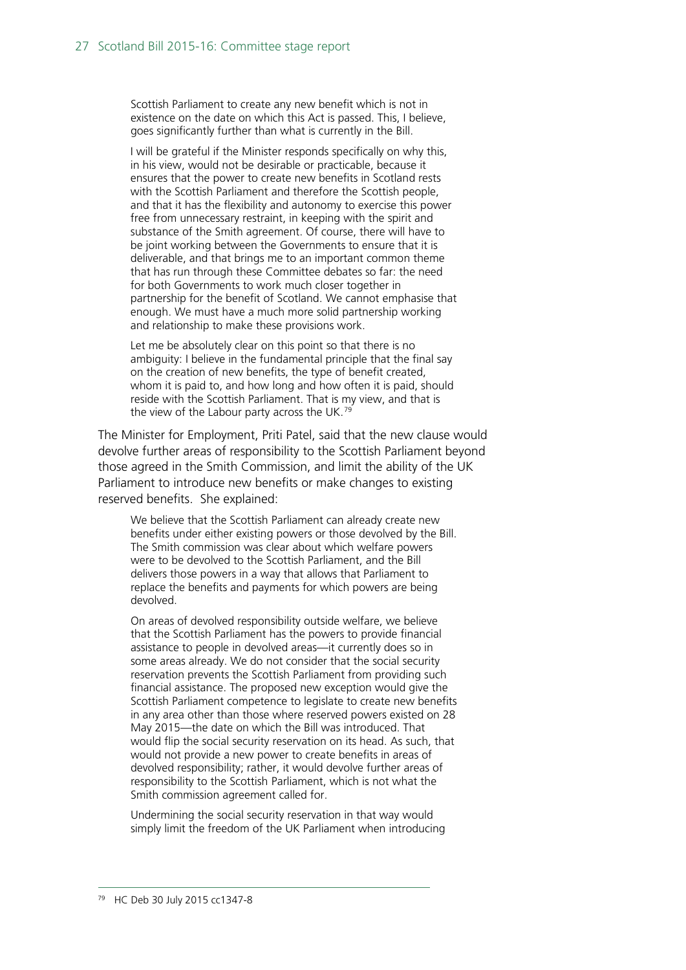Scottish Parliament to create any new benefit which is not in existence on the date on which this Act is passed. This, I believe, goes significantly further than what is currently in the Bill.

I will be grateful if the Minister responds specifically on why this, in his view, would not be desirable or practicable, because it ensures that the power to create new benefits in Scotland rests with the Scottish Parliament and therefore the Scottish people, and that it has the flexibility and autonomy to exercise this power free from unnecessary restraint, in keeping with the spirit and substance of the Smith agreement. Of course, there will have to be joint working between the Governments to ensure that it is deliverable, and that brings me to an important common theme that has run through these Committee debates so far: the need for both Governments to work much closer together in partnership for the benefit of Scotland. We cannot emphasise that enough. We must have a much more solid partnership working and relationship to make these provisions work.

Let me be absolutely clear on this point so that there is no ambiguity: I believe in the fundamental principle that the final say on the creation of new benefits, the type of benefit created, whom it is paid to, and how long and how often it is paid, should reside with the Scottish Parliament. That is my view, and that is the view of the Labour party across the UK.<sup>[79](#page-26-0)</sup>

The Minister for Employment, Priti Patel, said that the new clause would devolve further areas of responsibility to the Scottish Parliament beyond those agreed in the Smith Commission, and limit the ability of the UK Parliament to introduce new benefits or make changes to existing reserved benefits. She explained:

We believe that the Scottish Parliament can already create new benefits under either existing powers or those devolved by the Bill. The Smith commission was clear about which welfare powers were to be devolved to the Scottish Parliament, and the Bill delivers those powers in a way that allows that Parliament to replace the benefits and payments for which powers are being devolved.

On areas of devolved responsibility outside welfare, we believe that the Scottish Parliament has the powers to provide financial assistance to people in devolved areas—it currently does so in some areas already. We do not consider that the social security reservation prevents the Scottish Parliament from providing such financial assistance. The proposed new exception would give the Scottish Parliament competence to legislate to create new benefits in any area other than those where reserved powers existed on 28 May 2015—the date on which the Bill was introduced. That would flip the social security reservation on its head. As such, that would not provide a new power to create benefits in areas of devolved responsibility; rather, it would devolve further areas of responsibility to the Scottish Parliament, which is not what the Smith commission agreement called for.

<span id="page-26-0"></span>Undermining the social security reservation in that way would simply limit the freedom of the UK Parliament when introducing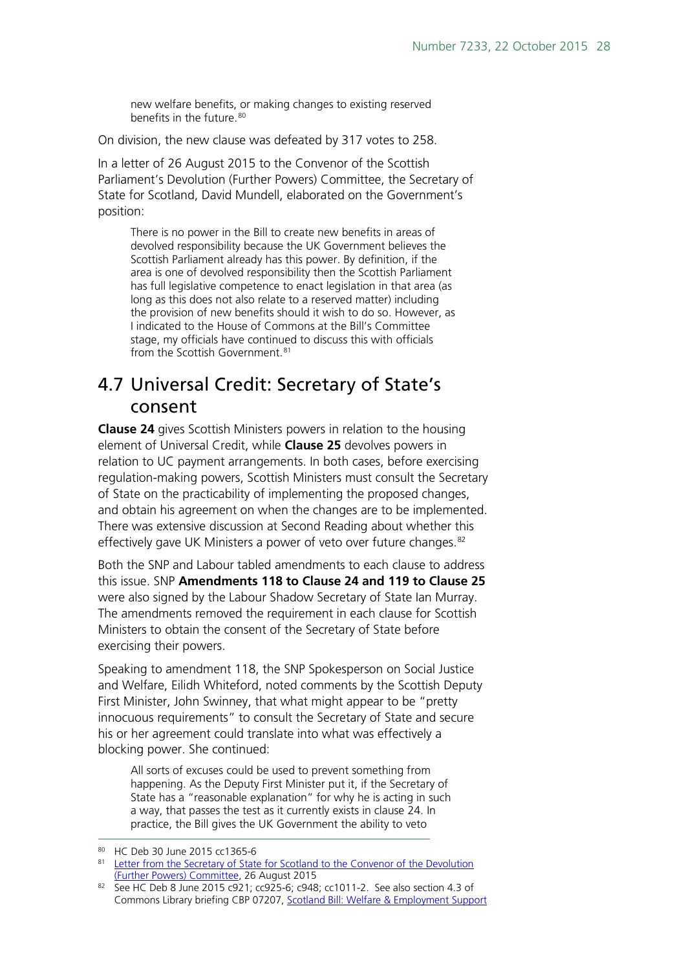new welfare benefits, or making changes to existing reserved benefits in the future.<sup>[80](#page-27-1)</sup>

On division, the new clause was defeated by 317 votes to 258.

In a letter of 26 August 2015 to the Convenor of the Scottish Parliament's Devolution (Further Powers) Committee, the Secretary of State for Scotland, David Mundell, elaborated on the Government's position:

There is no power in the Bill to create new benefits in areas of devolved responsibility because the UK Government believes the Scottish Parliament already has this power. By definition, if the area is one of devolved responsibility then the Scottish Parliament has full legislative competence to enact legislation in that area (as long as this does not also relate to a reserved matter) including the provision of new benefits should it wish to do so. However, as I indicated to the House of Commons at the Bill's Committee stage, my officials have continued to discuss this with officials from the Scottish Government.<sup>[81](#page-27-2)</sup>

#### <span id="page-27-0"></span>4.7 Universal Credit: Secretary of State's consent

**Clause 24** gives Scottish Ministers powers in relation to the housing element of Universal Credit, while **Clause 25** devolves powers in relation to UC payment arrangements. In both cases, before exercising regulation-making powers, Scottish Ministers must consult the Secretary of State on the practicability of implementing the proposed changes, and obtain his agreement on when the changes are to be implemented. There was extensive discussion at Second Reading about whether this effectively gave UK Ministers a power of veto over future changes.<sup>[82](#page-27-3)</sup>

Both the SNP and Labour tabled amendments to each clause to address this issue. SNP **Amendments 118 to Clause 24 and 119 to Clause 25** were also signed by the Labour Shadow Secretary of State Ian Murray. The amendments removed the requirement in each clause for Scottish Ministers to obtain the consent of the Secretary of State before exercising their powers.

Speaking to amendment 118, the SNP Spokesperson on Social Justice and Welfare, Eilidh Whiteford, noted comments by the Scottish Deputy First Minister, John Swinney, that what might appear to be "pretty innocuous requirements" to consult the Secretary of State and secure his or her agreement could translate into what was effectively a blocking power. She continued:

All sorts of excuses could be used to prevent something from happening. As the Deputy First Minister put it, if the Secretary of State has a "reasonable explanation" for why he is acting in such a way, that passes the test as it currently exists in clause 24. In practice, the Bill gives the UK Government the ability to veto

 <sup>80</sup> HC Deb 30 June 2015 cc1365-6

<span id="page-27-2"></span><span id="page-27-1"></span><sup>81</sup> Letter from the Secretary of State for Scotland to the Convenor of the Devolution [\(Further Powers\) Committee,](http://www.scottish.parliament.uk/2015.08.27_Letter_from_S_of_S_following_25_June_meeting.pdf) 26 August 2015

<span id="page-27-3"></span><sup>82</sup> See HC Deb 8 June 2015 c921; cc925-6; c948; cc1011-2. See also section 4.3 of Commons Library briefing CBP 07207, [Scotland Bill: Welfare & Employment Support](http://researchbriefings.parliament.uk/ResearchBriefing/Summary/CBP-7207)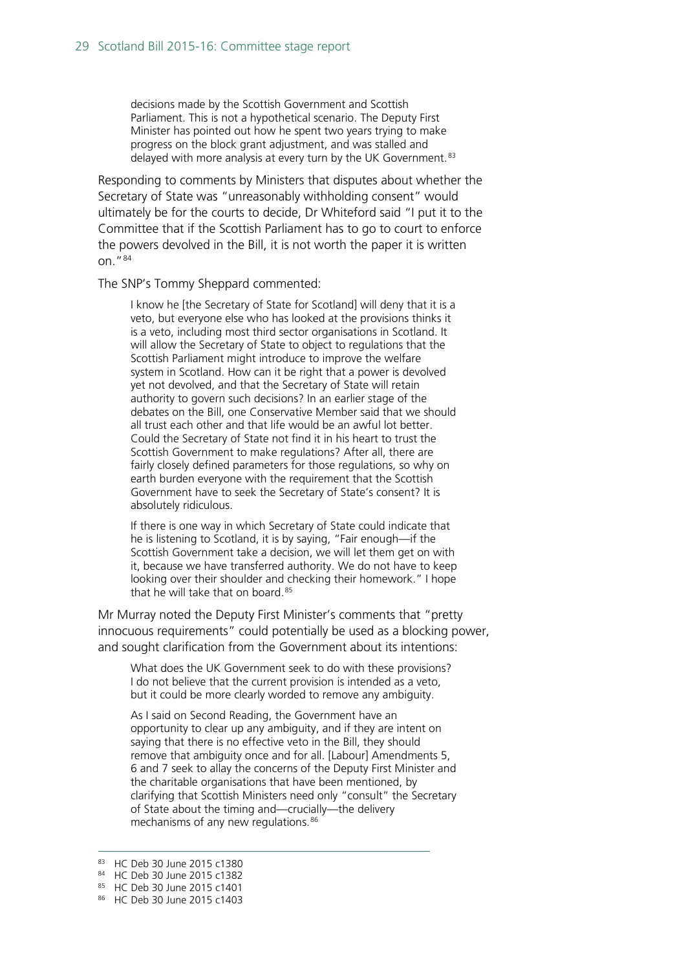decisions made by the Scottish Government and Scottish Parliament. This is not a hypothetical scenario. The Deputy First Minister has pointed out how he spent two years trying to make progress on the block grant adjustment, and was stalled and delayed with more analysis at every turn by the UK Government.<sup>[83](#page-28-0)</sup>

Responding to comments by Ministers that disputes about whether the Secretary of State was "unreasonably withholding consent" would ultimately be for the courts to decide, Dr Whiteford said "I put it to the Committee that if the Scottish Parliament has to go to court to enforce the powers devolved in the Bill, it is not worth the paper it is written on."[84](#page-28-1)

The SNP's Tommy Sheppard commented:

I know he [the Secretary of State for Scotland] will deny that it is a veto, but everyone else who has looked at the provisions thinks it is a veto, including most third sector organisations in Scotland. It will allow the Secretary of State to object to regulations that the Scottish Parliament might introduce to improve the welfare system in Scotland. How can it be right that a power is devolved yet not devolved, and that the Secretary of State will retain authority to govern such decisions? In an earlier stage of the debates on the Bill, one Conservative Member said that we should all trust each other and that life would be an awful lot better. Could the Secretary of State not find it in his heart to trust the Scottish Government to make regulations? After all, there are fairly closely defined parameters for those regulations, so why on earth burden everyone with the requirement that the Scottish Government have to seek the Secretary of State's consent? It is absolutely ridiculous.

If there is one way in which Secretary of State could indicate that he is listening to Scotland, it is by saying, "Fair enough—if the Scottish Government take a decision, we will let them get on with it, because we have transferred authority. We do not have to keep looking over their shoulder and checking their homework." I hope that he will take that on board.<sup>[85](#page-28-2)</sup>

Mr Murray noted the Deputy First Minister's comments that "pretty innocuous requirements" could potentially be used as a blocking power, and sought clarification from the Government about its intentions:

What does the UK Government seek to do with these provisions? I do not believe that the current provision is intended as a veto, but it could be more clearly worded to remove any ambiguity.

As I said on Second Reading, the Government have an opportunity to clear up any ambiguity, and if they are intent on saying that there is no effective veto in the Bill, they should remove that ambiguity once and for all. [Labour] Amendments 5, 6 and 7 seek to allay the concerns of the Deputy First Minister and the charitable organisations that have been mentioned, by clarifying that Scottish Ministers need only "consult" the Secretary of State about the timing and—crucially—the delivery mechanisms of any new regulations.<sup>[86](#page-28-3)</sup>

<span id="page-28-0"></span> <sup>83</sup> HC Deb 30 June 2015 c1380

<span id="page-28-2"></span><span id="page-28-1"></span><sup>84</sup> HC Deb 30 June 2015 c1382

<sup>85</sup> HC Deb 30 June 2015 c1401

<span id="page-28-3"></span><sup>86</sup> HC Deb 30 June 2015 c1403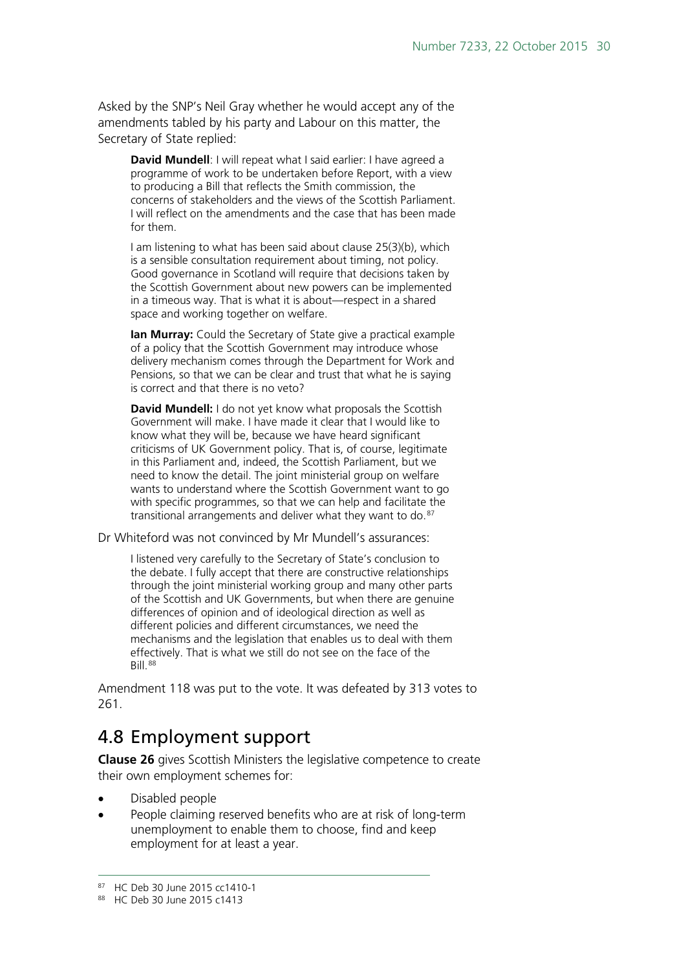Asked by the SNP's Neil Gray whether he would accept any of the amendments tabled by his party and Labour on this matter, the Secretary of State replied:

**David Mundell**: I will repeat what I said earlier: I have agreed a programme of work to be undertaken before Report, with a view to producing a Bill that reflects the Smith commission, the concerns of stakeholders and the views of the Scottish Parliament. I will reflect on the amendments and the case that has been made for them.

I am listening to what has been said about clause 25(3)(b), which is a sensible consultation requirement about timing, not policy. Good governance in Scotland will require that decisions taken by the Scottish Government about new powers can be implemented in a timeous way. That is what it is about—respect in a shared space and working together on welfare.

**Ian Murray:** Could the Secretary of State give a practical example of a policy that the Scottish Government may introduce whose delivery mechanism comes through the Department for Work and Pensions, so that we can be clear and trust that what he is saying is correct and that there is no veto?

**David Mundell:** I do not yet know what proposals the Scottish Government will make. I have made it clear that I would like to know what they will be, because we have heard significant criticisms of UK Government policy. That is, of course, legitimate in this Parliament and, indeed, the Scottish Parliament, but we need to know the detail. The joint ministerial group on welfare wants to understand where the Scottish Government want to go with specific programmes, so that we can help and facilitate the transitional arrangements and deliver what they want to do.<sup>[87](#page-29-1)</sup>

Dr Whiteford was not convinced by Mr Mundell's assurances:

I listened very carefully to the Secretary of State's conclusion to the debate. I fully accept that there are constructive relationships through the joint ministerial working group and many other parts of the Scottish and UK Governments, but when there are genuine differences of opinion and of ideological direction as well as different policies and different circumstances, we need the mechanisms and the legislation that enables us to deal with them effectively. That is what we still do not see on the face of the Bill.[88](#page-29-2)

Amendment 118 was put to the vote. It was defeated by 313 votes to 261.

#### <span id="page-29-0"></span>4.8 Employment support

**Clause 26** gives Scottish Ministers the legislative competence to create their own employment schemes for:

- Disabled people
- People claiming reserved benefits who are at risk of long-term unemployment to enable them to choose, find and keep employment for at least a year.

<span id="page-29-1"></span><sup>87</sup> HC Deb 30 June 2015 cc1410-1

<span id="page-29-2"></span><sup>88</sup> HC Deb 30 June 2015 c1413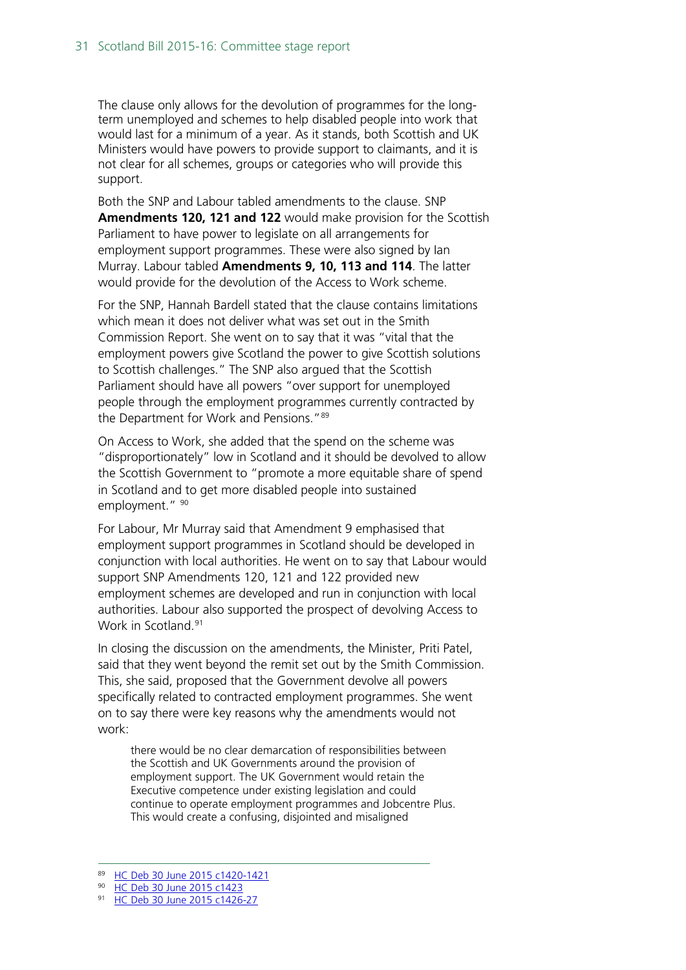The clause only allows for the devolution of programmes for the longterm unemployed and schemes to help disabled people into work that would last for a minimum of a year. As it stands, both Scottish and UK Ministers would have powers to provide support to claimants, and it is not clear for all schemes, groups or categories who will provide this support.

Both the SNP and Labour tabled amendments to the clause. SNP **Amendments 120, 121 and 122** would make provision for the Scottish Parliament to have power to legislate on all arrangements for employment support programmes. These were also signed by Ian Murray. Labour tabled **Amendments 9, 10, 113 and 114**. The latter would provide for the devolution of the Access to Work scheme.

For the SNP, Hannah Bardell stated that the clause contains limitations which mean it does not deliver what was set out in the Smith Commission Report. She went on to say that it was "vital that the employment powers give Scotland the power to give Scottish solutions to Scottish challenges." The SNP also argued that the Scottish Parliament should have all powers "over support for unemployed people through the employment programmes currently contracted by the Department for Work and Pensions."[89](#page-30-0) 

On Access to Work, she added that the spend on the scheme was "disproportionately" low in Scotland and it should be devolved to allow the Scottish Government to "promote a more equitable share of spend in Scotland and to get more disabled people into sustained employment." [90](#page-30-1)

For Labour, Mr Murray said that Amendment 9 emphasised that employment support programmes in Scotland should be developed in conjunction with local authorities. He went on to say that Labour would support SNP Amendments 120, 121 and 122 provided new employment schemes are developed and run in conjunction with local authorities. Labour also supported the prospect of devolving Access to Work in Scotland.<sup>[91](#page-30-2)</sup>

In closing the discussion on the amendments, the Minister, Priti Patel, said that they went beyond the remit set out by the Smith Commission. This, she said, proposed that the Government devolve all powers specifically related to contracted employment programmes. She went on to say there were key reasons why the amendments would not work:

there would be no clear demarcation of responsibilities between the Scottish and UK Governments around the provision of employment support. The UK Government would retain the Executive competence under existing legislation and could continue to operate employment programmes and Jobcentre Plus. This would create a confusing, disjointed and misaligned

<span id="page-30-0"></span><sup>89</sup> [HC Deb 30 June 2015 c1420-1421](http://www.publications.parliament.uk/pa/cm201516/cmhansrd/chan25.pdf)

<sup>90</sup> [HC Deb 30 June 2015 c1423](http://www.publications.parliament.uk/pa/cm201516/cmhansrd/chan25.pdf)

<span id="page-30-2"></span><span id="page-30-1"></span><sup>91</sup> [HC Deb 30 June 2015 c1426-27](http://www.publications.parliament.uk/pa/cm201516/cmhansrd/chan25.pdf)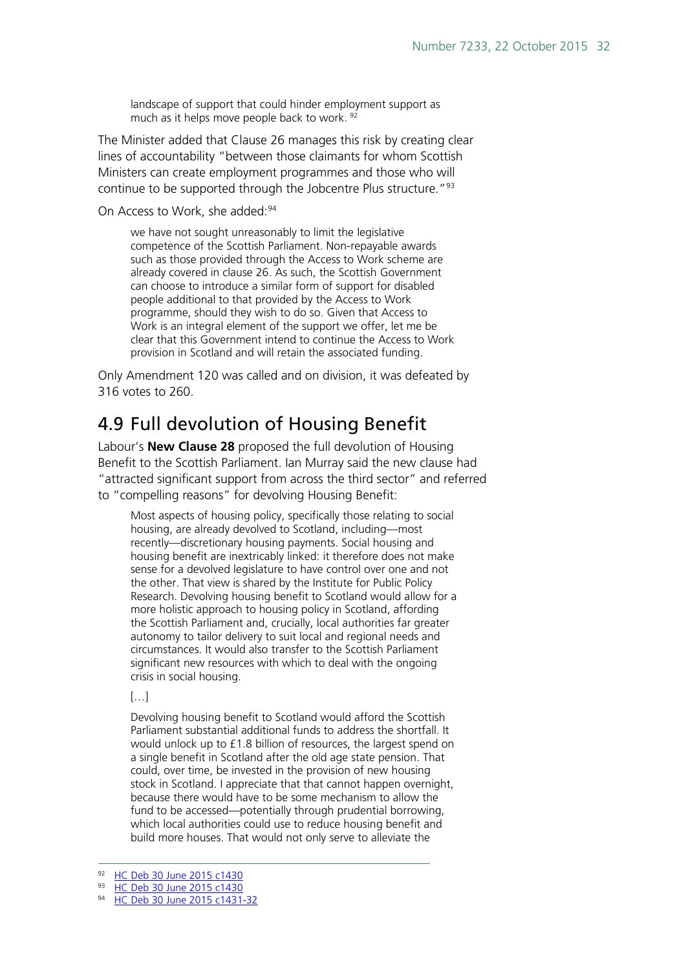landscape of support that could hinder employment support as much as it helps move people back to work. [92](#page-31-1)

The Minister added that Clause 26 manages this risk by creating clear lines of accountability "between those claimants for whom Scottish Ministers can create employment programmes and those who will continue to be supported through the Jobcentre Plus structure."<sup>[93](#page-31-2)</sup>

On Access to Work, she added:<sup>[94](#page-31-3)</sup>

we have not sought unreasonably to limit the legislative competence of the Scottish Parliament. Non-repayable awards such as those provided through the Access to Work scheme are already covered in clause 26. As such, the Scottish Government can choose to introduce a similar form of support for disabled people additional to that provided by the Access to Work programme, should they wish to do so. Given that Access to Work is an integral element of the support we offer, let me be clear that this Government intend to continue the Access to Work provision in Scotland and will retain the associated funding.

Only Amendment 120 was called and on division, it was defeated by 316 votes to 260.

## <span id="page-31-0"></span>4.9 Full devolution of Housing Benefit

Labour's **New Clause 28** proposed the full devolution of Housing Benefit to the Scottish Parliament. Ian Murray said the new clause had "attracted significant support from across the third sector" and referred to "compelling reasons" for devolving Housing Benefit:

Most aspects of housing policy, specifically those relating to social housing, are already devolved to Scotland, including—most recently—discretionary housing payments. Social housing and housing benefit are inextricably linked: it therefore does not make sense for a devolved legislature to have control over one and not the other. That view is shared by the Institute for Public Policy Research. Devolving housing benefit to Scotland would allow for a more holistic approach to housing policy in Scotland, affording the Scottish Parliament and, crucially, local authorities far greater autonomy to tailor delivery to suit local and regional needs and circumstances. It would also transfer to the Scottish Parliament significant new resources with which to deal with the ongoing crisis in social housing.

[…]

Devolving housing benefit to Scotland would afford the Scottish Parliament substantial additional funds to address the shortfall. It would unlock up to £1.8 billion of resources, the largest spend on a single benefit in Scotland after the old age state pension. That could, over time, be invested in the provision of new housing stock in Scotland. I appreciate that that cannot happen overnight, because there would have to be some mechanism to allow the fund to be accessed—potentially through prudential borrowing, which local authorities could use to reduce housing benefit and build more houses. That would not only serve to alleviate the

<sup>92</sup> [HC Deb 30 June 2015 c1430](http://www.publications.parliament.uk/pa/cm201516/cmhansrd/chan25.pdf)

<span id="page-31-2"></span><span id="page-31-1"></span><sup>93</sup> [HC Deb 30 June 2015 c1430](http://www.publications.parliament.uk/pa/cm201516/cmhansrd/chan25.pdf)

<span id="page-31-3"></span>[HC Deb 30 June 2015 c1431-32](http://www.publications.parliament.uk/pa/cm201516/cmhansrd/chan25.pdf)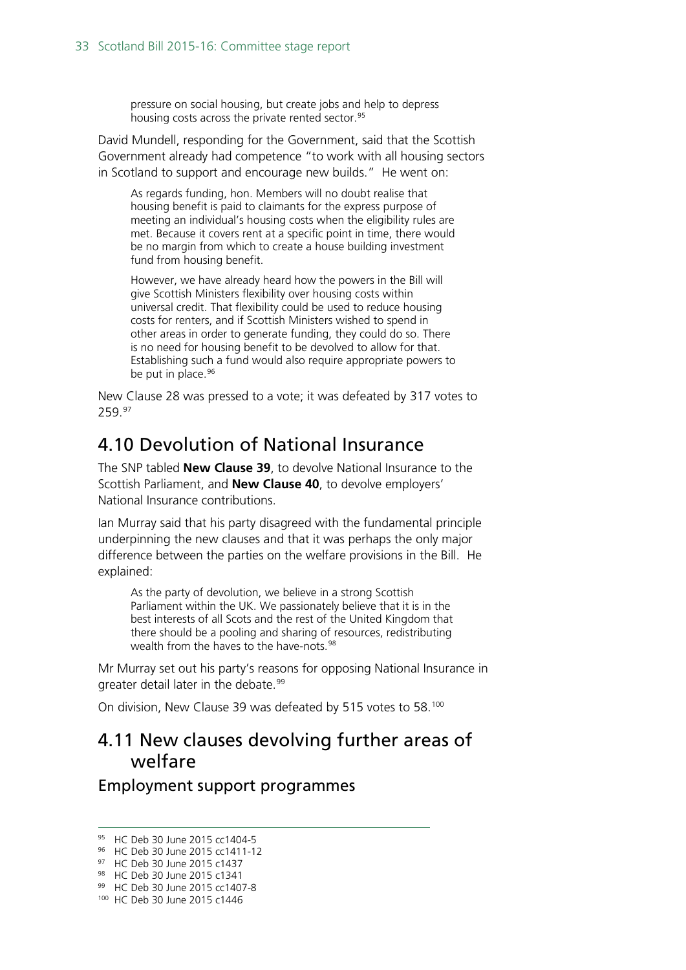pressure on social housing, but create jobs and help to depress housing costs across the private rented sector.<sup>[95](#page-32-2)</sup>

David Mundell, responding for the Government, said that the Scottish Government already had competence "to work with all housing sectors in Scotland to support and encourage new builds." He went on:

As regards funding, hon. Members will no doubt realise that housing benefit is paid to claimants for the express purpose of meeting an individual's housing costs when the eligibility rules are met. Because it covers rent at a specific point in time, there would be no margin from which to create a house building investment fund from housing benefit.

However, we have already heard how the powers in the Bill will give Scottish Ministers flexibility over housing costs within universal credit. That flexibility could be used to reduce housing costs for renters, and if Scottish Ministers wished to spend in other areas in order to generate funding, they could do so. There is no need for housing benefit to be devolved to allow for that. Establishing such a fund would also require appropriate powers to be put in place.<sup>[96](#page-32-3)</sup>

New Clause 28 was pressed to a vote; it was defeated by 317 votes to 259.[97](#page-32-4)

#### <span id="page-32-0"></span>4.10 Devolution of National Insurance

The SNP tabled **New Clause 39**, to devolve National Insurance to the Scottish Parliament, and **New Clause 40**, to devolve employers' National Insurance contributions.

Ian Murray said that his party disagreed with the fundamental principle underpinning the new clauses and that it was perhaps the only major difference between the parties on the welfare provisions in the Bill. He explained:

As the party of devolution, we believe in a strong Scottish Parliament within the UK. We passionately believe that it is in the best interests of all Scots and the rest of the United Kingdom that there should be a pooling and sharing of resources, redistributing wealth from the haves to the have-nots.<sup>[98](#page-32-5)</sup>

Mr Murray set out his party's reasons for opposing National Insurance in greater detail later in the debate.<sup>[99](#page-32-6)</sup>

On division, New Clause 39 was defeated by 515 votes to 58.[100](#page-32-7)

#### <span id="page-32-1"></span>4.11 New clauses devolving further areas of welfare

Employment support programmes

<span id="page-32-2"></span> <sup>95</sup> HC Deb 30 June 2015 cc1404-5

<span id="page-32-3"></span><sup>96</sup> HC Deb 30 June 2015 cc1411-12

<span id="page-32-4"></span><sup>97</sup> HC Deb 30 June 2015 c1437

<span id="page-32-5"></span><sup>98</sup> HC Deb 30 June 2015 c1341

<span id="page-32-7"></span><span id="page-32-6"></span><sup>99</sup> HC Deb 30 June 2015 cc1407-8

<sup>100</sup> HC Deb 30 June 2015 c1446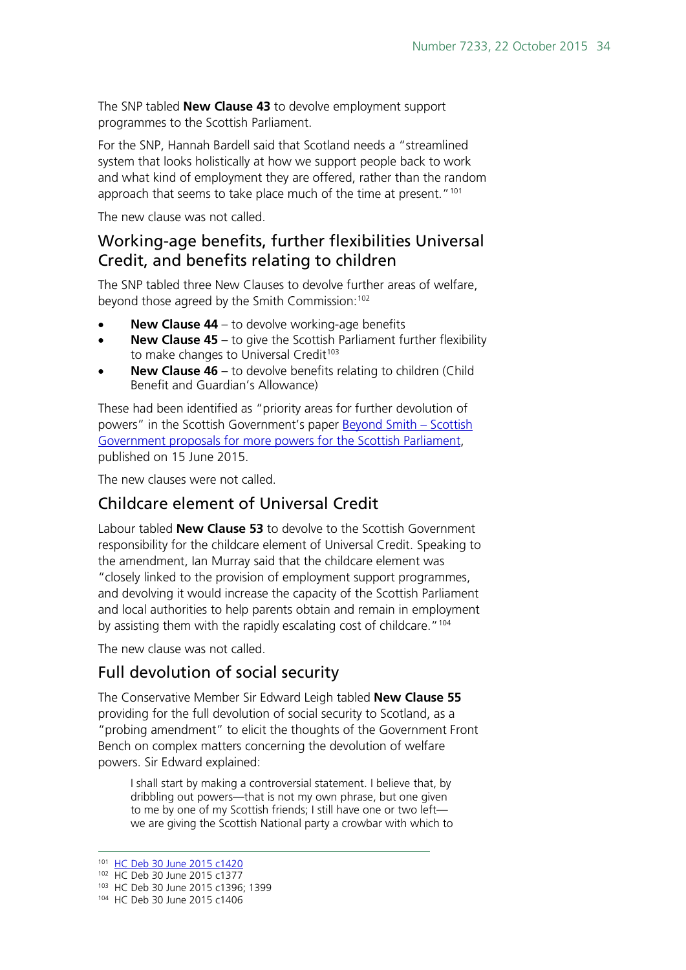The SNP tabled **New Clause 43** to devolve employment support programmes to the Scottish Parliament.

For the SNP, Hannah Bardell said that Scotland needs a "streamlined system that looks holistically at how we support people back to work and what kind of employment they are offered, rather than the random approach that seems to take place much of the time at present."<sup>[101](#page-33-0)</sup>

The new clause was not called.

#### Working-age benefits, further flexibilities Universal Credit, and benefits relating to children

The SNP tabled three New Clauses to devolve further areas of welfare, beyond those agreed by the Smith Commission:<sup>102</sup>

- **New Clause 44** to devolve working-age benefits
- **New Clause 45** to give the Scottish Parliament further flexibility to make changes to Universal Credit<sup>[103](#page-33-2)</sup>
- **New Clause 46** to devolve benefits relating to children (Child Benefit and Guardian's Allowance)

These had been identified as "priority areas for further devolution of powers" in the Scottish Government's paper **Beyond Smith – Scottish** [Government proposals for more powers for the Scottish Parliament,](http://www.gov.scot/Topics/constitution/publications/morepowersproposals) published on 15 June 2015.

The new clauses were not called.

#### Childcare element of Universal Credit

Labour tabled **New Clause 53** to devolve to the Scottish Government responsibility for the childcare element of Universal Credit. Speaking to the amendment, Ian Murray said that the childcare element was "closely linked to the provision of employment support programmes, and devolving it would increase the capacity of the Scottish Parliament and local authorities to help parents obtain and remain in employment by assisting them with the rapidly escalating cost of childcare."<sup>[104](#page-33-3)</sup>

The new clause was not called.

#### Full devolution of social security

The Conservative Member Sir Edward Leigh tabled **New Clause 55** providing for the full devolution of social security to Scotland, as a "probing amendment" to elicit the thoughts of the Government Front Bench on complex matters concerning the devolution of welfare powers. Sir Edward explained:

I shall start by making a controversial statement. I believe that, by dribbling out powers—that is not my own phrase, but one given to me by one of my Scottish friends; I still have one or two left we are giving the Scottish National party a crowbar with which to

<span id="page-33-0"></span> <sup>101</sup> [HC Deb 30 June 2015 c1420](http://www.publications.parliament.uk/pa/cm201516/cmhansrd/chan25.pdf)

<span id="page-33-2"></span><span id="page-33-1"></span><sup>102</sup> HC Deb 30 June 2015 c1377

<sup>103</sup> HC Deb 30 June 2015 c1396; 1399

<span id="page-33-3"></span><sup>104</sup> HC Deb 30 June 2015 c1406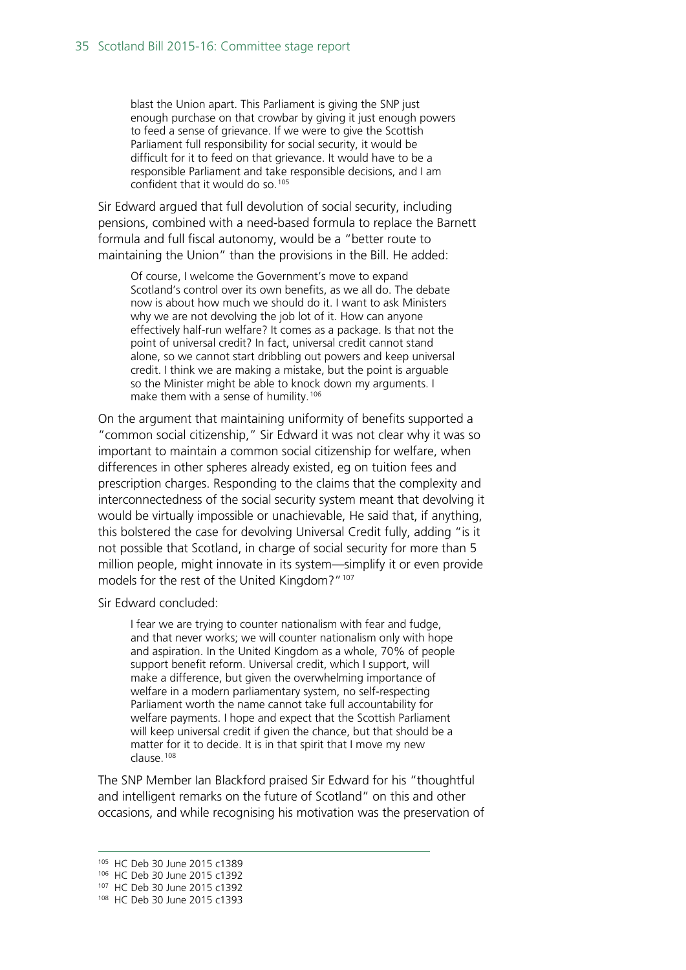blast the Union apart. This Parliament is giving the SNP just enough purchase on that crowbar by giving it just enough powers to feed a sense of grievance. If we were to give the Scottish Parliament full responsibility for social security, it would be difficult for it to feed on that grievance. It would have to be a responsible Parliament and take responsible decisions, and I am confident that it would do so.[105](#page-34-0)

Sir Edward argued that full devolution of social security, including pensions, combined with a need-based formula to replace the Barnett formula and full fiscal autonomy, would be a "better route to maintaining the Union" than the provisions in the Bill. He added:

Of course, I welcome the Government's move to expand Scotland's control over its own benefits, as we all do. The debate now is about how much we should do it. I want to ask Ministers why we are not devolving the job lot of it. How can anyone effectively half-run welfare? It comes as a package. Is that not the point of universal credit? In fact, universal credit cannot stand alone, so we cannot start dribbling out powers and keep universal credit. I think we are making a mistake, but the point is arguable so the Minister might be able to knock down my arguments. I make them with a sense of humility.<sup>[106](#page-34-1)</sup>

On the argument that maintaining uniformity of benefits supported a "common social citizenship," Sir Edward it was not clear why it was so important to maintain a common social citizenship for welfare, when differences in other spheres already existed, eg on tuition fees and prescription charges. Responding to the claims that the complexity and interconnectedness of the social security system meant that devolving it would be virtually impossible or unachievable, He said that, if anything, this bolstered the case for devolving Universal Credit fully, adding "is it not possible that Scotland, in charge of social security for more than 5 million people, might innovate in its system—simplify it or even provide models for the rest of the United Kingdom?"[107](#page-34-2)

Sir Edward concluded:

I fear we are trying to counter nationalism with fear and fudge, and that never works; we will counter nationalism only with hope and aspiration. In the United Kingdom as a whole, 70% of people support benefit reform. Universal credit, which I support, will make a difference, but given the overwhelming importance of welfare in a modern parliamentary system, no self-respecting Parliament worth the name cannot take full accountability for welfare payments. I hope and expect that the Scottish Parliament will keep universal credit if given the chance, but that should be a matter for it to decide. It is in that spirit that I move my new clause.[108](#page-34-3)

The SNP Member Ian Blackford praised Sir Edward for his "thoughtful and intelligent remarks on the future of Scotland" on this and other occasions, and while recognising his motivation was the preservation of

<span id="page-34-0"></span> <sup>105</sup> HC Deb 30 June 2015 c1389

<span id="page-34-2"></span><span id="page-34-1"></span><sup>106</sup> HC Deb 30 June 2015 c1392 <sup>107</sup> HC Deb 30 June 2015 c1392

<span id="page-34-3"></span><sup>108</sup> HC Deb 30 June 2015 c1393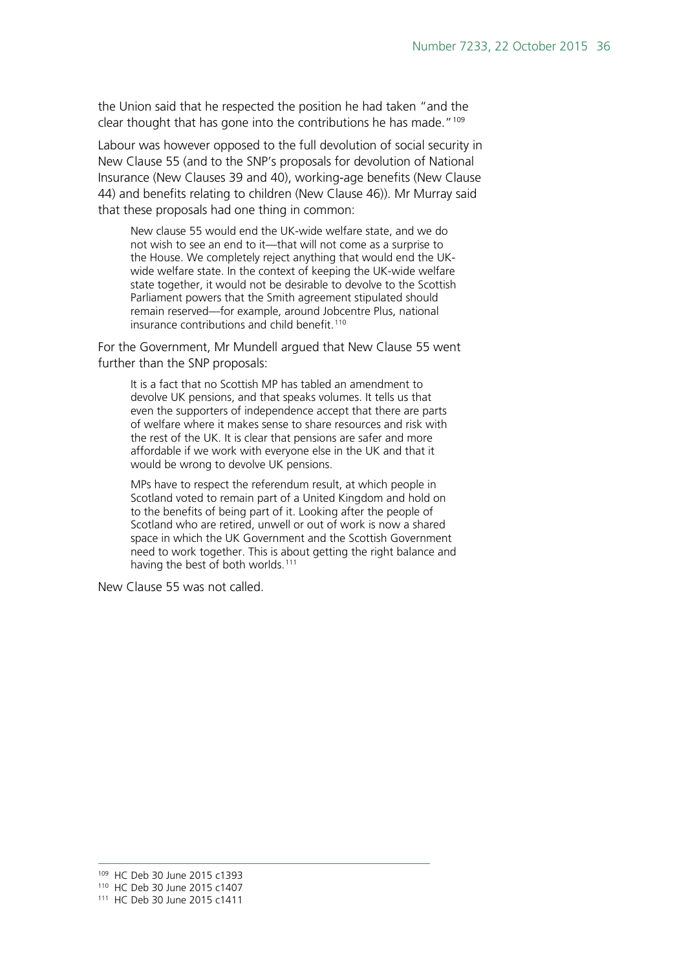the Union said that he respected the position he had taken "and the clear thought that has gone into the contributions he has made."<sup>[109](#page-35-0)</sup>

Labour was however opposed to the full devolution of social security in New Clause 55 (and to the SNP's proposals for devolution of National Insurance (New Clauses 39 and 40), working-age benefits (New Clause 44) and benefits relating to children (New Clause 46)). Mr Murray said that these proposals had one thing in common:

New clause 55 would end the UK-wide welfare state, and we do not wish to see an end to it—that will not come as a surprise to the House. We completely reject anything that would end the UKwide welfare state. In the context of keeping the UK-wide welfare state together, it would not be desirable to devolve to the Scottish Parliament powers that the Smith agreement stipulated should remain reserved—for example, around Jobcentre Plus, national insurance contributions and child benefit.<sup>[110](#page-35-1)</sup>

For the Government, Mr Mundell argued that New Clause 55 went further than the SNP proposals:

It is a fact that no Scottish MP has tabled an amendment to devolve UK pensions, and that speaks volumes. It tells us that even the supporters of independence accept that there are parts of welfare where it makes sense to share resources and risk with the rest of the UK. It is clear that pensions are safer and more affordable if we work with everyone else in the UK and that it would be wrong to devolve UK pensions.

MPs have to respect the referendum result, at which people in Scotland voted to remain part of a United Kingdom and hold on to the benefits of being part of it. Looking after the people of Scotland who are retired, unwell or out of work is now a shared space in which the UK Government and the Scottish Government need to work together. This is about getting the right balance and having the best of both worlds.<sup>[111](#page-35-2)</sup>

New Clause 55 was not called.

 <sup>109</sup> HC Deb 30 June 2015 c1393

<span id="page-35-2"></span><span id="page-35-1"></span><span id="page-35-0"></span><sup>110</sup> HC Deb 30 June 2015 c1407

<sup>111</sup> HC Deb 30 June 2015 c1411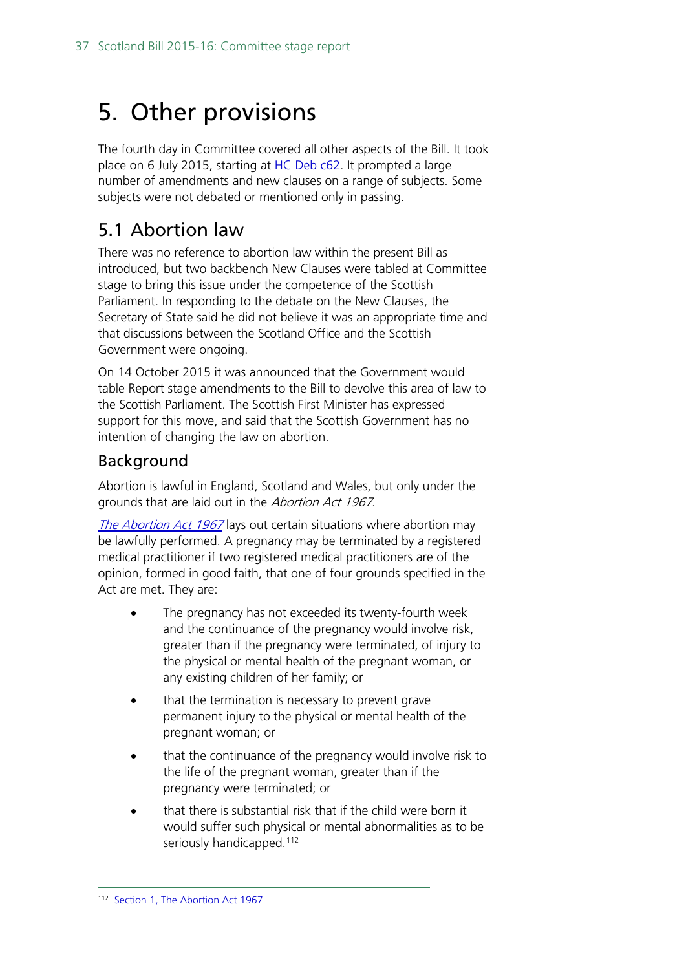# <span id="page-36-0"></span>5. Other provisions

The fourth day in Committee covered all other aspects of the Bill. It took place on 6 July 2015, starting at [HC Deb c62.](http://www.publications.parliament.uk/pa/cm201516/cmhansrd/cm150706/debtext/150706-0002.htm%2315070626000001) It prompted a large number of amendments and new clauses on a range of subjects. Some subjects were not debated or mentioned only in passing.

# <span id="page-36-1"></span>5.1 Abortion law

There was no reference to abortion law within the present Bill as introduced, but two backbench New Clauses were tabled at Committee stage to bring this issue under the competence of the Scottish Parliament. In responding to the debate on the New Clauses, the Secretary of State said he did not believe it was an appropriate time and that discussions between the Scotland Office and the Scottish Government were ongoing.

On 14 October 2015 it was announced that the Government would table Report stage amendments to the Bill to devolve this area of law to the Scottish Parliament. The Scottish First Minister has expressed support for this move, and said that the Scottish Government has no intention of changing the law on abortion.

#### Background

Abortion is lawful in England, Scotland and Wales, but only under the grounds that are laid out in the Abortion Act 1967.

[The Abortion Act 1967](http://www.legislation.gov.uk/ukpga/1967/87/contents) lays out certain situations where abortion may be lawfully performed. A pregnancy may be terminated by a registered medical practitioner if two registered medical practitioners are of the opinion, formed in good faith, that one of four grounds specified in the Act are met. They are:

- The pregnancy has not exceeded its twenty-fourth week and the continuance of the pregnancy would involve risk, greater than if the pregnancy were terminated, of injury to the physical or mental health of the pregnant woman, or any existing children of her family; or
- that the termination is necessary to prevent grave permanent injury to the physical or mental health of the pregnant woman; or
- that the continuance of the pregnancy would involve risk to the life of the pregnant woman, greater than if the pregnancy were terminated; or
- that there is substantial risk that if the child were born it would suffer such physical or mental abnormalities as to be seriously handicapped.<sup>[112](#page-36-2)</sup>

<span id="page-36-2"></span><sup>112</sup> [Section 1, The Abortion Act 1967](http://www.legislation.gov.uk/ukpga/1967/87/contents)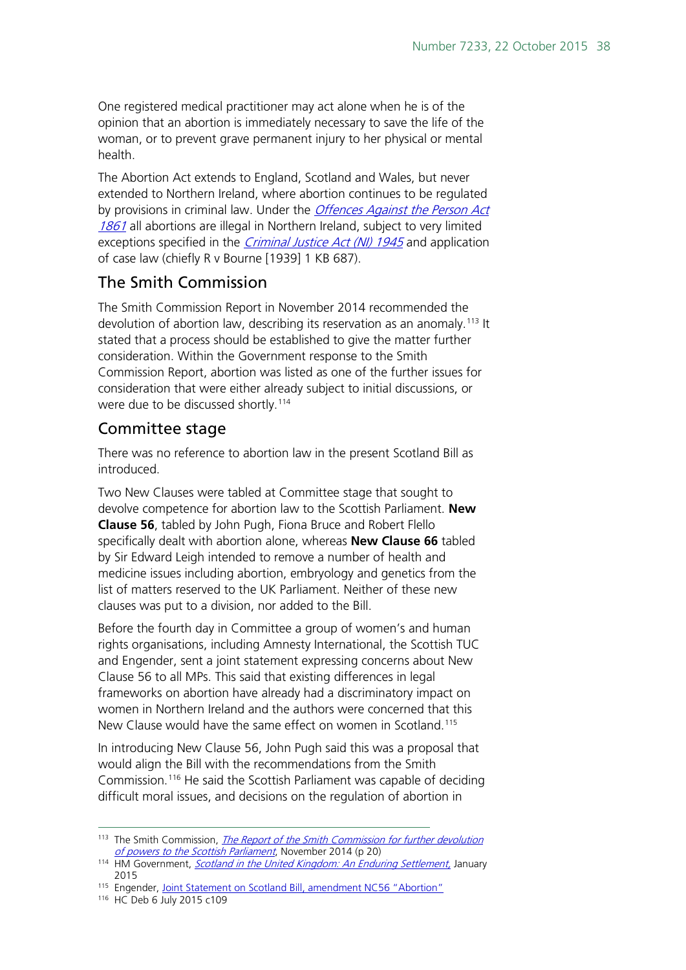One registered medical practitioner may act alone when he is of the opinion that an abortion is immediately necessary to save the life of the woman, or to prevent grave permanent injury to her physical or mental health.

The Abortion Act extends to England, Scotland and Wales, but never extended to Northern Ireland, where abortion continues to be regulated by provisions in criminal law. Under the *Offences Against the Person Act* [1861](http://www.legislation.gov.uk/ukpga/Vict/24-25/100/contents) all abortions are illegal in Northern Ireland, subject to very limited exceptions specified in the *[Criminal Justice Act \(NI\) 1945](http://www.legislation.gov.uk/apni/1945/15/contents)* and application of case law (chiefly R v Bourne [1939] 1 KB 687).

#### The Smith Commission

The Smith Commission Report in November 2014 recommended the devolution of abortion law, describing its reservation as an anomaly.<sup>[113](#page-37-0)</sup> It stated that a process should be established to give the matter further consideration. Within the Government response to the Smith Commission Report, abortion was listed as one of the further issues for consideration that were either already subject to initial discussions, or were due to be discussed shortly.<sup>114</sup>

#### Committee stage

There was no reference to abortion law in the present Scotland Bill as introduced.

Two New Clauses were tabled at Committee stage that sought to devolve competence for abortion law to the Scottish Parliament. **New Clause 56**, tabled by John Pugh, Fiona Bruce and Robert Flello specifically dealt with abortion alone, whereas **New Clause 66** tabled by Sir Edward Leigh intended to remove a number of health and medicine issues including abortion, embryology and genetics from the list of matters reserved to the UK Parliament. Neither of these new clauses was put to a division, nor added to the Bill.

Before the fourth day in Committee a group of women's and human rights organisations, including Amnesty International, the Scottish TUC and Engender, sent a joint statement expressing concerns about New Clause 56 to all MPs. This said that existing differences in legal frameworks on abortion have already had a discriminatory impact on women in Northern Ireland and the authors were concerned that this New Clause would have the same effect on women in Scotland.<sup>[115](#page-37-2)</sup>

In introducing New Clause 56, John Pugh said this was a proposal that would align the Bill with the recommendations from the Smith Commission.[116](#page-37-3) He said the Scottish Parliament was capable of deciding difficult moral issues, and decisions on the regulation of abortion in

<span id="page-37-0"></span><sup>&</sup>lt;sup>113</sup> The Smith Commission, *The Report of the Smith Commission for further devolution* [of powers to the Scottish Parliament](https://www.smith-commission.scot/wp-content/uploads/2014/11/The_Smith_Commission_Report-1.pdf), November 2014 (p 20)

<span id="page-37-1"></span><sup>114</sup> HM Government, Scotland [in the United Kingdom: An Enduring Settlement,](https://www.gov.uk/government/uploads/system/uploads/attachment_data/file/397079/Scotland_EnduringSettlement_acc.pdf) January 2015

<span id="page-37-2"></span><sup>&</sup>lt;sup>115</sup> Engender, [Joint Statement on Scotland Bill, amendment NC56 "Abortion"](http://www.abortionrights.org.uk/wp-content/uploads/2015/07/Joint-statement-on-Scotland-Bill-NC56-Abortion.pdf)

<span id="page-37-3"></span><sup>116</sup> HC Deb 6 July 2015 c109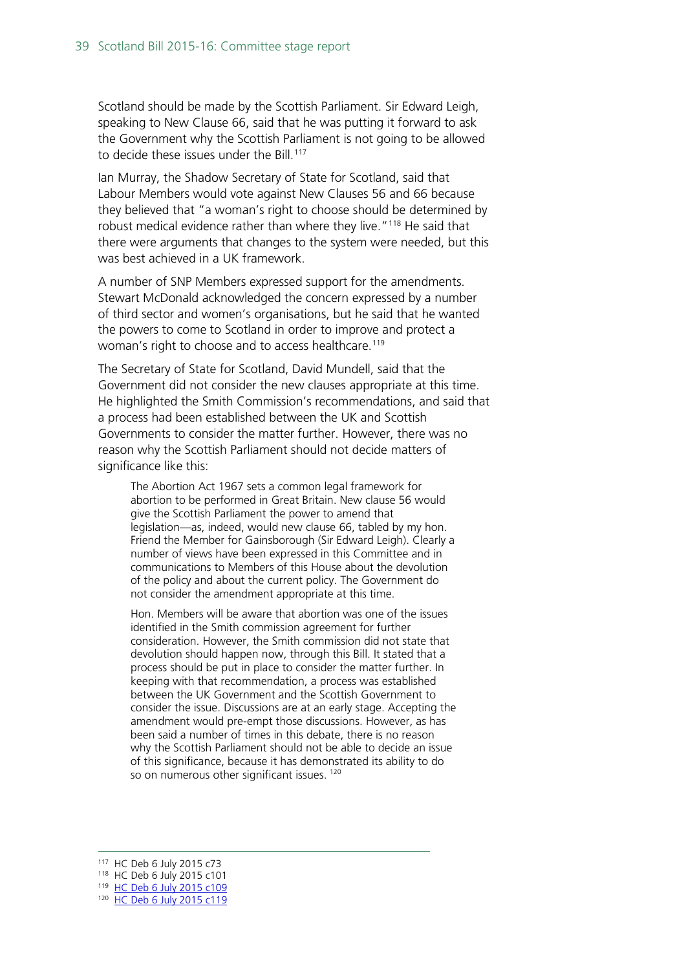Scotland should be made by the Scottish Parliament. Sir Edward Leigh, speaking to New Clause 66, said that he was putting it forward to ask the Government why the Scottish Parliament is not going to be allowed to decide these issues under the Bill.<sup>117</sup>

Ian Murray, the Shadow Secretary of State for Scotland, said that Labour Members would vote against New Clauses 56 and 66 because they believed that "a woman's right to choose should be determined by robust medical evidence rather than where they live."<sup>[118](#page-38-1)</sup> He said that there were arguments that changes to the system were needed, but this was best achieved in a UK framework.

A number of SNP Members expressed support for the amendments. Stewart McDonald acknowledged the concern expressed by a number of third sector and women's organisations, but he said that he wanted the powers to come to Scotland in order to improve and protect a woman's right to choose and to access healthcare.<sup>[119](#page-38-2)</sup>

The Secretary of State for Scotland, David Mundell, said that the Government did not consider the new clauses appropriate at this time. He highlighted the Smith Commission's recommendations, and said that a process had been established between the UK and Scottish Governments to consider the matter further. However, there was no reason why the Scottish Parliament should not decide matters of significance like this:

The Abortion Act 1967 sets a common legal framework for abortion to be performed in Great Britain. New clause 56 would give the Scottish Parliament the power to amend that legislation—as, indeed, would new clause 66, tabled by my hon. Friend the Member for Gainsborough (Sir Edward Leigh). Clearly a number of views have been expressed in this Committee and in communications to Members of this House about the devolution of the policy and about the current policy. The Government do not consider the amendment appropriate at this time.

Hon. Members will be aware that abortion was one of the issues identified in the Smith commission agreement for further consideration. However, the Smith commission did not state that devolution should happen now, through this Bill. It stated that a process should be put in place to consider the matter further. In keeping with that recommendation, a process was established between the UK Government and the Scottish Government to consider the issue. Discussions are at an early stage. Accepting the amendment would pre-empt those discussions. However, as has been said a number of times in this debate, there is no reason why the Scottish Parliament should not be able to decide an issue of this significance, because it has demonstrated its ability to do so on numerous other significant issues.<sup>[120](#page-38-3)</sup>

<span id="page-38-0"></span> <sup>117</sup> HC Deb 6 July 2015 c73

<span id="page-38-2"></span><span id="page-38-1"></span><sup>118</sup> HC Deb 6 July 2015 c101

<sup>119</sup> [HC Deb 6 July 2015 c109](http://www.publications.parliament.uk/pa/cm201516/cmhansrd/cm150706/debtext/150706-0003.htm%2315070630000072)

<span id="page-38-3"></span><sup>120</sup> [HC Deb 6 July 2015 c119](http://www.publications.parliament.uk/pa/cm201516/cmhansrd/cm150706/debtext/150706-0003.htm%2315070630000145)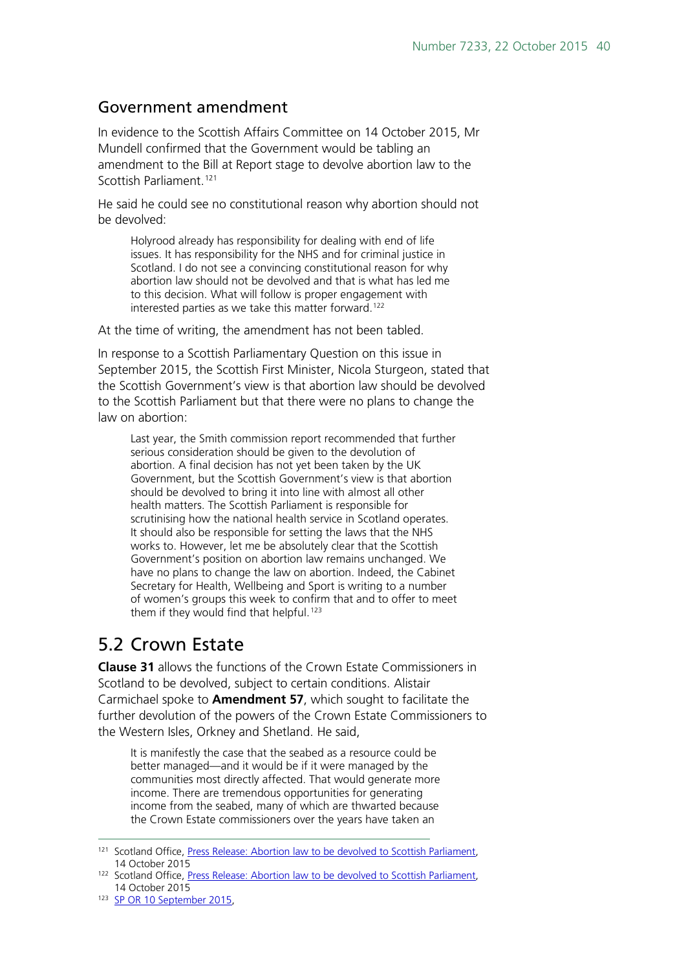#### Government amendment

In evidence to the Scottish Affairs Committee on 14 October 2015, Mr Mundell confirmed that the Government would be tabling an amendment to the Bill at Report stage to devolve abortion law to the Scottish Parliament.<sup>[121](#page-39-1)</sup>

He said he could see no constitutional reason why abortion should not be devolved:

Holyrood already has responsibility for dealing with end of life issues. It has responsibility for the NHS and for criminal justice in Scotland. I do not see a convincing constitutional reason for why abortion law should not be devolved and that is what has led me to this decision. What will follow is proper engagement with interested parties as we take this matter forward.<sup>[122](#page-39-2)</sup>

At the time of writing, the amendment has not been tabled.

In response to a Scottish Parliamentary Question on this issue in September 2015, the Scottish First Minister, Nicola Sturgeon, stated that the Scottish Government's view is that abortion law should be devolved to the Scottish Parliament but that there were no plans to change the law on abortion:

Last year, the Smith commission report recommended that further serious consideration should be given to the devolution of abortion. A final decision has not yet been taken by the UK Government, but the Scottish Government's view is that abortion should be devolved to bring it into line with almost all other health matters. The Scottish Parliament is responsible for scrutinising how the national health service in Scotland operates. It should also be responsible for setting the laws that the NHS works to. However, let me be absolutely clear that the Scottish Government's position on abortion law remains unchanged. We have no plans to change the law on abortion. Indeed, the Cabinet Secretary for Health, Wellbeing and Sport is writing to a number of women's groups this week to confirm that and to offer to meet them if they would find that helpful.<sup>[123](#page-39-3)</sup>

#### <span id="page-39-0"></span>5.2 Crown Estate

**Clause 31** allows the functions of the Crown Estate Commissioners in Scotland to be devolved, subject to certain conditions. Alistair Carmichael spoke to **Amendment 57**, which sought to facilitate the further devolution of the powers of the Crown Estate Commissioners to the Western Isles, Orkney and Shetland. He said,

It is manifestly the case that the seabed as a resource could be better managed—and it would be if it were managed by the communities most directly affected. That would generate more income. There are tremendous opportunities for generating income from the seabed, many of which are thwarted because the Crown Estate commissioners over the years have taken an

<span id="page-39-1"></span><sup>&</sup>lt;sup>121</sup> Scotland Office[, Press Release: Abortion law to be devolved to Scottish Parliament,](https://www.gov.uk/government/news/abortion-law-to-be-devolved-to-scottish-parliament) 14 October 2015

<span id="page-39-2"></span><sup>122</sup> Scotland Office[, Press Release: Abortion law to be devolved to Scottish Parliament,](https://www.gov.uk/government/news/abortion-law-to-be-devolved-to-scottish-parliament) 14 October 2015

<span id="page-39-3"></span><sup>123</sup> SP OR 10 September 2015,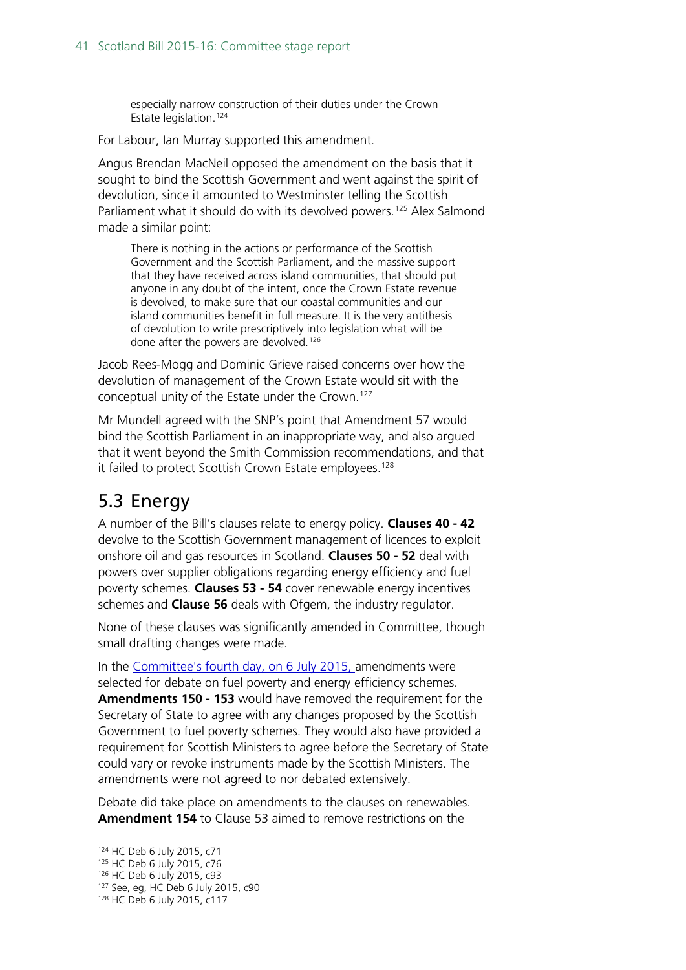especially narrow construction of their duties under the Crown Estate legislation.[124](#page-40-1)

For Labour, Ian Murray supported this amendment.

Angus Brendan MacNeil opposed the amendment on the basis that it sought to bind the Scottish Government and went against the spirit of devolution, since it amounted to Westminster telling the Scottish Parliament what it should do with its devolved powers.<sup>[125](#page-40-2)</sup> Alex Salmond made a similar point:

There is nothing in the actions or performance of the Scottish Government and the Scottish Parliament, and the massive support that they have received across island communities, that should put anyone in any doubt of the intent, once the Crown Estate revenue is devolved, to make sure that our coastal communities and our island communities benefit in full measure. It is the very antithesis of devolution to write prescriptively into legislation what will be done after the powers are devolved.<sup>[126](#page-40-3)</sup>

Jacob Rees-Mogg and Dominic Grieve raised concerns over how the devolution of management of the Crown Estate would sit with the conceptual unity of the Estate under the Crown.<sup>[127](#page-40-4)</sup>

Mr Mundell agreed with the SNP's point that Amendment 57 would bind the Scottish Parliament in an inappropriate way, and also argued that it went beyond the Smith Commission recommendations, and that it failed to protect Scottish Crown Estate employees.<sup>[128](#page-40-5)</sup>

## <span id="page-40-0"></span>5.3 Energy

A number of the Bill's clauses relate to energy policy. **Clauses 40 - 42** devolve to the Scottish Government management of licences to exploit onshore oil and gas resources in Scotland. **Clauses 50 - 52** deal with powers over supplier obligations regarding energy efficiency and fuel poverty schemes. **Clauses 53 - 54** cover renewable energy incentives schemes and **Clause 56** deals with Ofgem, the industry regulator.

None of these clauses was significantly amended in Committee, though small drafting changes were made.

In the [Committee's fourth day,](http://www.publications.parliament.uk/pa/cm201516/cmhansrd/cm150706/debtext/150706-0002.htm%2315070626000001) on 6 July 2015, amendments were selected for debate on fuel poverty and energy efficiency schemes. **Amendments 150 - 153** would have removed the requirement for the Secretary of State to agree with any changes proposed by the Scottish Government to fuel poverty schemes. They would also have provided a requirement for Scottish Ministers to agree before the Secretary of State could vary or revoke instruments made by the Scottish Ministers. The amendments were not agreed to nor debated extensively.

Debate did take place on amendments to the clauses on renewables. **Amendment 154** to Clause 53 aimed to remove restrictions on the

<span id="page-40-1"></span> <sup>124</sup> HC Deb 6 July 2015, c71

<span id="page-40-2"></span><sup>125</sup> HC Deb 6 July 2015, c76

<sup>126</sup> HC Deb 6 July 2015, c93

<span id="page-40-5"></span><span id="page-40-4"></span><span id="page-40-3"></span><sup>127</sup> See, eg, HC Deb 6 July 2015, c90

<sup>128</sup> HC Deb 6 July 2015, c117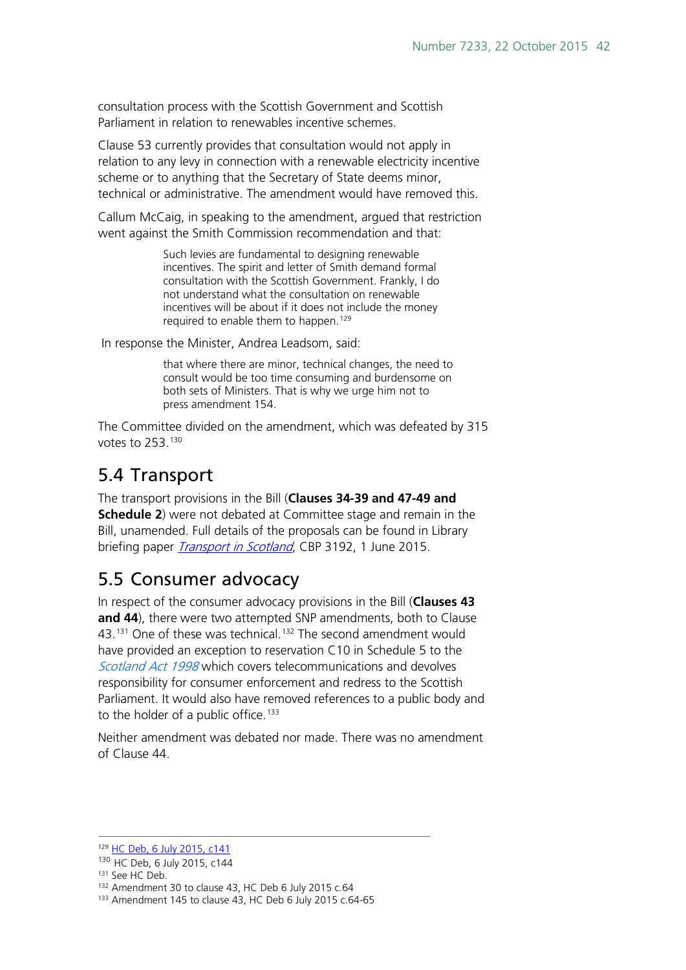consultation process with the Scottish Government and Scottish Parliament in relation to renewables incentive schemes.

Clause 53 currently provides that consultation would not apply in relation to any levy in connection with a renewable electricity incentive scheme or to anything that the Secretary of State deems minor, technical or administrative. The amendment would have removed this.

Callum McCaig, in speaking to the amendment, argued that restriction went against the Smith Commission recommendation and that:

> Such levies are fundamental to designing renewable incentives. The spirit and letter of Smith demand formal consultation with the Scottish Government. Frankly, I do not understand what the consultation on renewable incentives will be about if it does not include the money required to enable them to happen.<sup>[129](#page-41-2)</sup>

In response the Minister, Andrea Leadsom, said:

that where there are minor, technical changes, the need to consult would be too time consuming and burdensome on both sets of Ministers. That is why we urge him not to press amendment 154.

The Committee divided on the amendment, which was defeated by 315 votes to 253.[130](#page-41-3)

## <span id="page-41-0"></span>5.4 Transport

The transport provisions in the Bill (**Clauses 34-39 and 47-49 and Schedule 2**) were not debated at Committee stage and remain in the Bill, unamended. Full details of the proposals can be found in Library briefing paper *[Transport in Scotland](http://www.parliament.uk/briefing-papers/SN03192)*, CBP 3192, 1 June 2015.

## <span id="page-41-1"></span>5.5 Consumer advocacy

In respect of the consumer advocacy provisions in the Bill (**Clauses 43 and 44**), there were two attempted SNP amendments, both to Clause 43.<sup>[131](#page-41-4)</sup> One of these was technical.<sup>[132](#page-41-5)</sup> The second amendment would have provided an exception to reservation C10 in Schedule 5 to the [Scotland Act 1998](http://www.legislation.gov.uk/ukpga/1998/46/schedule/5) which covers telecommunications and devolves responsibility for consumer enforcement and redress to the Scottish Parliament. It would also have removed references to a public body and to the holder of a public office.<sup>[133](#page-41-6)</sup>

Neither amendment was debated nor made. There was no amendment of Clause 44.

<span id="page-41-2"></span><sup>129</sup> [HC Deb, 6 July 2015, c141](http://www.publications.parliament.uk/pa/cm201516/cmhansrd/cm150706/debtext/150706-0004.htm)

<span id="page-41-3"></span><sup>&</sup>lt;sup>130</sup> [HC Deb, 6 July 2015, c144](http://www.publications.parliament.uk/pa/cm201516/cmhansrd/cm150706/debtext/150706-0004.htm)<br><sup>131</sup> See HC Deb.

<span id="page-41-4"></span>

<span id="page-41-5"></span><sup>132</sup> Amendment 30 to clause 43, HC Deb 6 July 2015 c.64

<span id="page-41-6"></span><sup>133</sup> Amendment 145 to clause 43, HC Deb 6 July 2015 c.64-65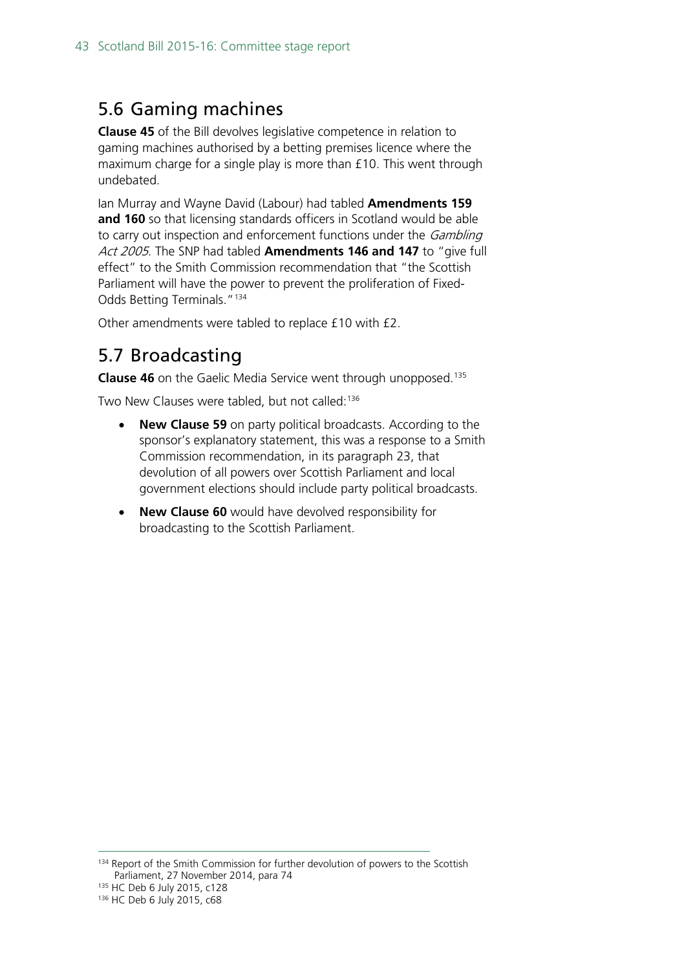#### <span id="page-42-0"></span>5.6 Gaming machines

**Clause 45** of the Bill devolves legislative competence in relation to gaming machines authorised by a betting premises licence where the maximum charge for a single play is more than £10. This went through undebated.

Ian Murray and Wayne David (Labour) had tabled **Amendments 159 and 160** so that licensing standards officers in Scotland would be able to carry out inspection and enforcement functions under the *Gambling* Act 2005. The SNP had tabled **Amendments 146 and 147** to "give full effect" to the Smith Commission recommendation that "the Scottish Parliament will have the power to prevent the proliferation of Fixed-Odds Betting Terminals."[134](#page-42-2)

Other amendments were tabled to replace £10 with £2.

## <span id="page-42-1"></span>5.7 Broadcasting

**Clause 46** on the Gaelic Media Service went through unopposed. [135](#page-42-3)

Two New Clauses were tabled, but not called: [136](#page-42-4)

- **New Clause 59** on party political broadcasts. According to the sponsor's explanatory statement, this was a response to a Smith Commission recommendation, in its paragraph 23, that devolution of all powers over Scottish Parliament and local government elections should include party political broadcasts.
- **New Clause 60** would have devolved responsibility for broadcasting to the Scottish Parliament.

<span id="page-42-2"></span><sup>134</sup> Report of the Smith Commission for further devolution of powers to the Scottish Parliament, 27 November 2014, para 74

<span id="page-42-3"></span><sup>135</sup> HC Deb 6 July 2015, c128

<span id="page-42-4"></span><sup>136</sup> HC Deb 6 July 2015, c68